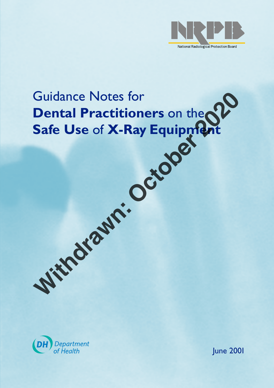

# Guidance Notes for **Dental Practitioners** on the **Safe Use** of **X-Ray Equipment** Guidance Notes for<br>Dental Practitioners on the O<sup>20</sup><br>Safe Use of X-Ray Equipment<br>Co<sup>2020</sup>



**June 2001**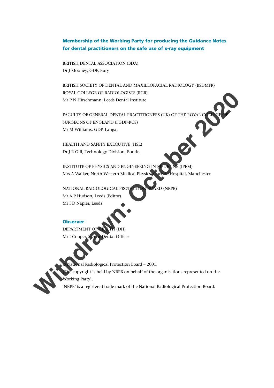#### **Membership of the Working Party for producing the Guidance Notes for dental practitioners on the safe use of x-ray equipment**

BRITISH DENTAL ASSOCIATION (BDA) Dr J Mooney, GDP, Bury

BRITISH SOCIETY OF DENTAL AND MAXILLOFACIAL RADIOLOGY (BSDMFR) ROYAL COLLEGE OF RADIOLOGISTS (RCR) Mr P N Hirschmann, Leeds Dental Institute

FACULTY OF GENERAL DENTAL PRACTITIONERS (UK) OF THE ROYAL C SURGEONS OF ENGLAND (FGDP-RCS) Mr M Williams, GDP, Langar WORKING PARTY EXECUTIVE (ISE)<br>
MENTRITY OF GENERAL PRACTITIONERS (US) OF THE ROYAL COLLEGED AT DISTURBANCE DRACTITIONERS (US) OF THE ROYAL COLLEGED STOLE SURVEY CHECKS (ND PLACTITY OF PHYSICS AND PACISITERING IN COLLEGED D

HEALTH AND SAFETY EXECUTIVE (HSE) Dr J R Gill, Technology Division, Bootle

INSTITUTE OF PHYSICS AND ENGINEERING IN MEDICINE (IPEM) Mrs A Walker, North Western Medical Physics, Christie Hospital, Manchester

NATIONAL RADIOLOGICAL PROTECTION BOARD (NRPB) Mr A P Hudson, Leeds (Editor) Mr I D Napier, Leeds

#### **Observer**

DEPARTMENT OF Mr I Cooper, Senior Dental Officer



mal Radiological Protection Board - 2001.

copyright is held by NRPB on behalf of the organisations represented on the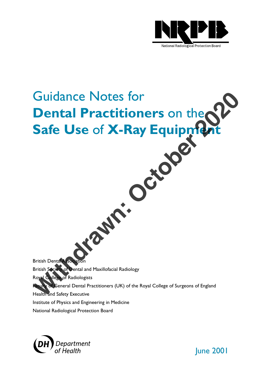

# Guidance Notes for **Dental Practitioners** on the **Safe Use of X-Ray Equipment** British Dental Association British Society of Dental and Maxillofacial Radiology Royal College of Radiologists Faculty of General Dental Practitioners (UK) of the Royal College of Surgeons of England Health and Safety Executive Institute of Physics and Engineering in Medicine Guidance Notes for<br>
Dental Practitioners on the<br>
Safe Use of X-Ray Equipment<br>
British Dental Radiology<br>
British Dental Radiology<br>
Registered Dental Practicioners (UK) of the Rayal College of Surgeons of England<br>
Healthand



**June 2001**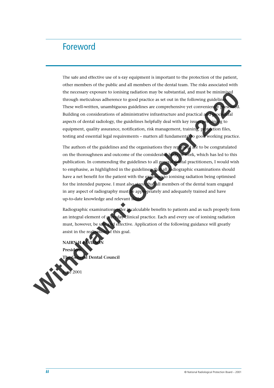## Foreword

The safe and effective use of x-ray equipment is important to the protection of the patient, other members of the public and all members of the dental team. The risks associated with the necessary exposure to ionising radiation may be substantial, and must be minimised through meticulous adherence to good practice as set out in the following guideline These well-written, unambiguous guidelines are comprehensive yet conveniently  $\mathbf p$ Building on considerations of administrative infrastructure and practical and procedural aspects of dental radiology, the guidelines helpfully deal with key issues pertaining to equipment, quality assurance, notification, risk management, training, protection files, testing and essential legal requirements – matters all fundamental to good working practice.

The authors of the guidelines and the organisations they represent are to be congratulated on the thoroughness and outcome of the considerable body of work, which has led to this publication. In commending the guidelines to all general dental practitioners, I would wish to emphasise, as highlighted in the guidelines, that all rediscontractions should have a net benefit for the patient with the exposure to ionising radiation being optimised for the intended purpose. I must also stress that all members of the dental team engaged in any aspect of radiography must be appropriately and adequately trained and have up-to-date knowledge and relevant s If the wave proposed of control in control in the substantial, and more likely and the subscription and the subscription and the subscription Board – 2001 and the subscription and the subscription Board – 2001 and the subs

Radiographic examinations offer incalculable benefits to patients and as such properly form an integral element of everyday clinical practice. Each and every use of ionising radiation must, however, be safe and effective. Application of the following guidance will greatly assist in the realisation of this goal.

**NAIRNH Preside Dental Council** 

June 2001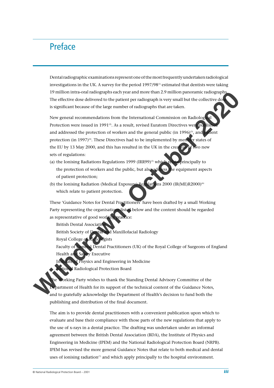## Preface

Dental radiographic examinations represent one of the most frequently undertaken radiological investigations in the UK. A survey for the period 1997/98<sup>(1)</sup> estimated that dentists were taking 19 million intra-oral radiographs each year and more than 2.9 million panoramic radiographs. The effective dose delivered to the patient per radiograph is very small but the collective do is significant because of the large number of radiographs that are taken.

New general recommendations from the International Commission on Radiology Protection were issued in 1991<sup>(2)</sup>. As a result, revised Euratom Directives were publis and addressed the protection of workers and the general public (in  $1996$ )<sup>3</sup>), and patient protection (in 1997)<sup>(4)</sup>. These Directives had to be implemented by member states of the EU by 13 May 2000, and this has resulted in the UK in the creation sets of regulations:

- (a) the Ionising Radiations Regulations 1999 (IRR99)<sup>(5)</sup> which relate principally to the protection of workers and the public, but also address the equipment aspects of patient protection;
- (b) the Ionising Radiation (Medical Exposure) Regulations 2000 (IR(ME)R2000)<sup>(6)</sup> which relate to patient protection.

These 'Guidance Notes for Dental Practitioners' have been drafted by a small Working Party representing the organisations listed below and the content should be regarded as representative of good working practice:

British Dental Association

British Society of Dental and Maxillofacial Radiology

Royal College of Radiologists

Faculty of General Dental Practitioners (UK) of the Royal College of Surgeons of England Health and Safety Executive

Ifte of Physics and Engineering in Medicine

National Radiological Protection Board

**Jorking Party wishes to thank the Standing Dental Advisory Committee of the** Department of Health for its support of the technical content of the Guidance Notes, and to gratefully acknowledge the Department of Health's decision to fund both the publishing and distribution of the final document.

The aim is to provide dental practitioners with a convenient publication upon which to evaluate and base their compliance with those parts of the new regulations that apply to the use of x-rays in a dental practice. The drafting was undertaken under an informal agreement between the British Dental Association (BDA), the Institute of Physics and Engineering in Medicine (IPEM) and the National Radiological Protection Board (NRPB). IPEM has revised the more general Guidance Notes that relate to both medical and dental uses of ionising radiation<sup> $(7)$ </sup> and which apply principally to the hospital environment. For this time tart and radio to the particular control that the this particular protection Board (NAT).<br>
The effective dose delivered to the putcher per nothing particle were small but the collective different tends<br>in the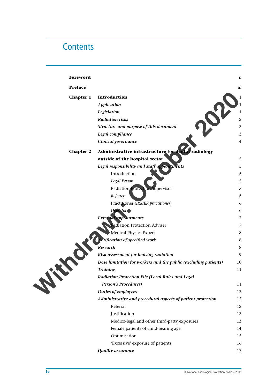## **Contents**

| Foreword                             |                                                                                                                                                                                                                        | ii                                                                                                                                                                                                                                            |
|--------------------------------------|------------------------------------------------------------------------------------------------------------------------------------------------------------------------------------------------------------------------|-----------------------------------------------------------------------------------------------------------------------------------------------------------------------------------------------------------------------------------------------|
| <b>Preface</b>                       |                                                                                                                                                                                                                        | iii                                                                                                                                                                                                                                           |
| <b>Chapter 1</b><br><b>Chapter 2</b> | Introduction<br><b>Application</b><br>Legislation<br><b>Radiation risks</b><br>Structure and purpose of this document<br>Legal compliance<br>Clinical governance<br>Administrative infrastructure for dental radiology | 1<br>3<br>4                                                                                                                                                                                                                                   |
|                                      |                                                                                                                                                                                                                        | 5                                                                                                                                                                                                                                             |
|                                      |                                                                                                                                                                                                                        | 5                                                                                                                                                                                                                                             |
|                                      |                                                                                                                                                                                                                        | 5<br>5                                                                                                                                                                                                                                        |
|                                      |                                                                                                                                                                                                                        | 5                                                                                                                                                                                                                                             |
|                                      |                                                                                                                                                                                                                        | 5                                                                                                                                                                                                                                             |
|                                      |                                                                                                                                                                                                                        | 6                                                                                                                                                                                                                                             |
|                                      |                                                                                                                                                                                                                        | 6                                                                                                                                                                                                                                             |
|                                      |                                                                                                                                                                                                                        | 7                                                                                                                                                                                                                                             |
|                                      | <b>Radiation Protection Adviser</b>                                                                                                                                                                                    | 7                                                                                                                                                                                                                                             |
|                                      | Medical Physics Expert                                                                                                                                                                                                 | 8                                                                                                                                                                                                                                             |
|                                      | otification of specified work                                                                                                                                                                                          | 8                                                                                                                                                                                                                                             |
|                                      | Research                                                                                                                                                                                                               | 8                                                                                                                                                                                                                                             |
|                                      | Risk assessment for ionising radiation                                                                                                                                                                                 | 9                                                                                                                                                                                                                                             |
|                                      | Dose limitation for workers and the public (excluding patients)                                                                                                                                                        | 10                                                                                                                                                                                                                                            |
|                                      | <b>Training</b>                                                                                                                                                                                                        | 11                                                                                                                                                                                                                                            |
|                                      | Radiation Protection File (Local Rules and Legal                                                                                                                                                                       |                                                                                                                                                                                                                                               |
|                                      | <b>Person's Procedures)</b>                                                                                                                                                                                            | 11                                                                                                                                                                                                                                            |
|                                      | Duties of employees                                                                                                                                                                                                    | 12                                                                                                                                                                                                                                            |
|                                      | Administrative and procedural aspects of patient protection                                                                                                                                                            | 12                                                                                                                                                                                                                                            |
|                                      | Referral                                                                                                                                                                                                               | 12                                                                                                                                                                                                                                            |
|                                      | Justification                                                                                                                                                                                                          | 13                                                                                                                                                                                                                                            |
|                                      | Medico-legal and other third-party exposures                                                                                                                                                                           | 13                                                                                                                                                                                                                                            |
|                                      | Female patients of child-bearing age                                                                                                                                                                                   | 14                                                                                                                                                                                                                                            |
|                                      | Optimisation                                                                                                                                                                                                           | 15                                                                                                                                                                                                                                            |
|                                      | 'Excessive' exposure of patients                                                                                                                                                                                       | 16                                                                                                                                                                                                                                            |
|                                      | Quality assurance                                                                                                                                                                                                      | 17                                                                                                                                                                                                                                            |
|                                      |                                                                                                                                                                                                                        | outside of the hospital sector<br>Legal responsibility and staff appointments<br>Introduction<br>Legal Person<br>Radiation Protection Supervisor<br>Referrer<br>Practitioner (IRMER practitioner)<br><i>Operator</i><br>External appointments |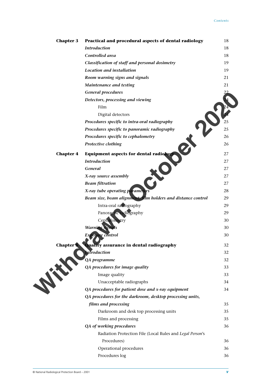| <b>Chapter 3</b> | Practical and procedural aspects of dental radiology         | 18 |
|------------------|--------------------------------------------------------------|----|
|                  | <b>Introduction</b>                                          | 18 |
|                  | Controlled area                                              | 18 |
|                  | Classification of staff and personal dosimetry               | 19 |
|                  | Location and installation                                    | 19 |
|                  | Room warning signs and signals                               | 21 |
|                  | Maintenance and testing                                      | 21 |
|                  | <b>General procedures</b>                                    |    |
|                  | Detectors, processing and viewing                            |    |
|                  | Film                                                         |    |
|                  | Digital detectors                                            |    |
|                  | Procedures specific to intra-oral radiography                |    |
|                  | Procedures specific to panoramic radiography                 | 25 |
|                  | Procedures specific to cephalometry                          | 26 |
|                  | Protective clothing                                          | 26 |
| <b>Chapter 4</b> | <b>Equipment aspects for dental radiology</b>                | 27 |
|                  | <b>Introduction</b>                                          | 27 |
|                  | General                                                      | 27 |
|                  | X-ray source assembly                                        | 27 |
|                  | <b>Beam filtration</b>                                       | 27 |
|                  | X-ray tube operating parameters                              | 28 |
|                  | Beam size, beam alignment, film holders and distance control | 29 |
|                  | Intra-oral radiography                                       | 29 |
|                  | Panoran ic radiography                                       | 29 |
|                  | Cephalometry                                                 | 30 |
|                  | <b>Warning signals</b>                                       | 30 |
|                  | <b>Exposure</b> control                                      | 30 |
| <b>Chapter</b>   | uality assurance in dental radiography                       | 32 |
|                  | <b>Introduction</b>                                          | 32 |
|                  | 'QA programme                                                | 32 |
|                  | QA procedures for image quality                              | 33 |
|                  | Image quality                                                | 33 |
|                  | Unacceptable radiographs                                     | 34 |
|                  | QA procedures for patient dose and x-ray equipment           | 34 |
|                  | QA procedures for the darkroom, desktop processing units,    |    |
|                  | films and processing                                         | 35 |
|                  | Darkroom and desk top processing units                       | 35 |
|                  | Films and processing                                         | 35 |
|                  | QA of working procedures                                     | 36 |
|                  | Radiation Protection File (Local Rules and Legal Person's    |    |
|                  | Procedures)                                                  | 36 |
|                  | Operational procedures                                       | 36 |
|                  | Procedures log                                               | 36 |
|                  |                                                              |    |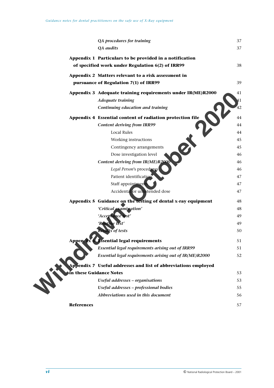|                         | QA procedures for training                                     | 37 |
|-------------------------|----------------------------------------------------------------|----|
|                         | QA audits                                                      | 37 |
|                         | Appendix 1 Particulars to be provided in a notification        |    |
|                         | of specified work under Regulation 6(2) of IRR99               | 38 |
|                         | Appendix 2 Matters relevant to a risk assessment in            |    |
|                         | pursuance of Regulation 7(1) of IRR99                          | 39 |
|                         | Appendix 3 Adequate training requirements under IR(ME)R2000    | 41 |
|                         | Adequate training                                              | 41 |
|                         | Continuing education and training                              | 42 |
|                         | Appendix 4 Essential content of radiation protection file      | 44 |
|                         | <b>Content deriving from IRR99</b>                             | 44 |
|                         | Local Rules                                                    | 44 |
|                         | Working instructions                                           | 45 |
|                         | Contingency arrangements                                       | 45 |
|                         | Dose investigation level                                       | 46 |
|                         | Content deriving from IR(ME)R2000                              | 46 |
|                         | Legal Person's procedures                                      | 46 |
|                         | Patient identification                                         | 47 |
|                         | Staff appointments                                             | 47 |
|                         | Accidental or unintended dose                                  | 47 |
|                         |                                                                |    |
|                         | Appendix 5 Guidance on the testing of dental x-ray equipment   | 48 |
|                         | 'Critical examination'                                         | 48 |
|                         | 'Acceptance test'                                              | 49 |
|                         | 'Routine test'                                                 | 49 |
|                         | <b>Results of tests</b>                                        | 50 |
| Appen                   | <b>Essential legal requirements</b>                            | 51 |
|                         | Essential legal requirements arising out of IRR99              | 51 |
|                         | Essential legal requirements arising out of IR(ME)R2000        | 52 |
|                         | Appendix 7 Useful addresses and list of abbreviations employed |    |
| in these Guidance Notes |                                                                | 53 |
|                         | Useful addresses - organisations                               | 53 |
|                         | Useful addresses - professional bodies                         | 55 |
|                         | Abbreviations used in this document                            | 56 |
| <b>References</b>       |                                                                | 57 |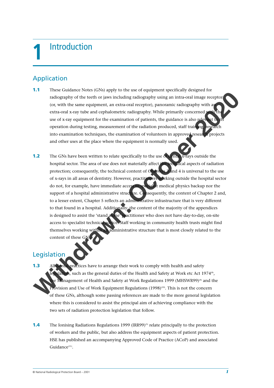#### Application

- **1.1** These Guidance Notes (GNs) apply to the use of equipment specifically designed for radiography of the teeth or jaws including radiography using an intra-oral image receptor (or, with the same equipment, an extra-oral receptor), panoramic radiography with a extra-oral x-ray tube and cephalometric radiography. While primarily concerned a use of x-ray equipment for the examination of patients, the guidance is also relev operation during testing, measurement of the radiation produced, staff training, research into examination techniques, the examination of volunteers in approved research projects and other uses at the place where the equipment is normally used.
- **1.2** The GNs have been written to relate specifically to the use of dental x-rays outside the hospital sector. The area of use does not materially affect the technical aspects of radiation protection; consequently, the technical content of Chapters  $3$  and 4 is universal to the use of x-rays in all areas of dentistry. However, practitioners working outside the hospital sector do not, for example, have immediate access to specialist medical physics backup nor the support of a hospital administrative structure. Consequently, the content of Chapter 2 and, to a lesser extent, Chapter 5 reflects an administrative infrastructure that is very different to that found in a hospital. Additionally, the content of the majority of the appendices is designed to assist the 'stand alone' practitioner who does not have day-to-day, on-site access to specialist technical advice. Staff working in community health trusts might find themselves working within an administrative structure that is most closely related to the content of these G The column of the technology with the technology with the technology with the same equipment, an extra-ord integraphy with a extra-ord integraphy with a extra-ord integraphy with a extra-ord integraphy with a extra-ord int

## Legislation

- **1.3** All dental practices have to arrange their work to comply with health and safety  $\hat{\mathbf{a}}$ , such as the general duties of the Health and Safety at Work etc Act 1974<sup>(8)</sup>, the Management of Health and Safety at Work Regulations 1999 (MHSWR99)<sup>(9)</sup> and the rovision and Use of Work Equipment Regulations (1998)<sup>(10)</sup>. This is not the concern of these GNs, although some passing references are made to the more general legislation where this is considered to assist the principal aim of achieving compliance with the two sets of radiation protection legislation that follow.
- **1.4** The Ionising Radiations Regulations 1999 (IRR99)<sup>(5)</sup> relate principally to the protection of workers and the public, but also address the equipment aspects of patient protection. HSE has published an accompanying Approved Code of Practice (ACoP) and associated Guidance<sup>(11)</sup>.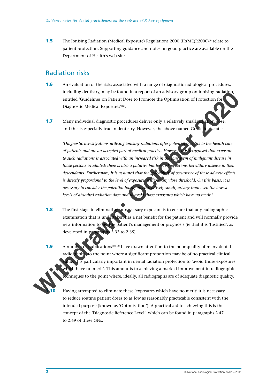**1.5** The Ionising Radiation (Medical Exposure) Regulations 2000 (IR(ME)R2000)<sup>(6)</sup> relate to patient protection. Supporting guidance and notes on good practice are available on the Department of Health's web-site.

#### Radiation risks

- **1.6** An evaluation of the risks associated with a range of diagnostic radiological procedures, including dentistry, may be found in a report of an advisory group on ionising radiation, entitled 'Guidelines on Patient Dose to Promote the Optimisation of Protection for Diagnostic Medical Exposures<sup>'(12)</sup>.
- **1.7** Many individual diagnostic procedures deliver only a relatively small regional and this is especially true in dentistry. However, the above named Guidelines state:

*'Diagnostic investigations utilising ionising radiations offer potential benefits to the health care of patients and are an accepted part of medical practice. However, it is recognised that exposure to such radiations is associated with an increased risk in the long term of malignant disease in those persons irradiated; there is also a putative but low risk of serious hereditary disease in their descendants. Furthermore, it is assumed that the probability of occurrence of these adverse effects is directly proportional to the level of exposure, without any dose threshold. On this basis, it is necessary to consider the potential harm, albeit relatively small, arising from even the lowest levels of absorbed radiation dose and to avoid those exposures which have no merit.'* anciented contrast that the protection and contrast in the state of the state of the state of the state of the state of the state of the state of the state of the state of the state of the state of the state of the state

- **1.8** The first stage in eliminating unnecessary exposure is to ensure that any radiographic examination that is under a ken has a net benefit for the patient and will normally provide new information to aid the patient's management or prognosis (ie that it is 'Justified', as developed in paragraphs 2.32 to 2.35).
- **1.9** A number of publications<sup>(13)(14)</sup> have drawn attention to the poor quality of many dental radiographs, to the point where a significant proportion may be of no practical clinical value. It is particularly important in dental radiation protection to 'avoid those exposures which have no merit'. This amounts to achieving a marked improvement in radiographic echniques to the point where, ideally, all radiographs are of adequate diagnostic quality.

**1.10** Having attempted to eliminate these 'exposures which have no merit' it is necessary to reduce routine patient doses to as low as reasonably practicable consistent with the intended purpose (known as 'Optimisation'). A practical aid to achieving this is the concept of the 'Diagnostic Reference Level', which can be found in paragraphs 2.47 to 2.49 of these GNs.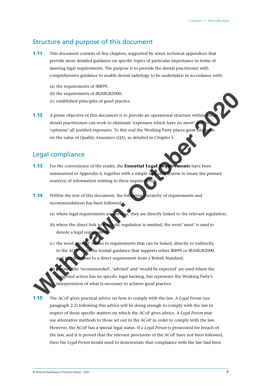#### Structure and purpose of this document

- **1.11** This document consists of five chapters, supported by seven technical appendices that provide more detailed guidance on specific topics of particular importance in terms of meeting legal requirements. The purpose is to provide the dental practitioner with comprehensive guidance to enable dental radiology to be undertaken in accordance with:
	- (a) the requirements of IRR99;
	- (b) the requirements of IR(ME)R2000;
	- (c) established principles of good practice.
- **1.12** A prime objective of this document is to provide an operational structure within dental practitioners can work to eliminate 'exposures which have no merit' 'optimise' all justified exposures. To this end the Working Party places great empha on the value of Quality Assurance (QA), as detailed in Chapter 5. (b) the requirements of IR(ME)R2KR);<br>
(c) established principles of good practice.<br>
A prime objective of this document is to provide an operational structure within<br>
denta pactitiones can work to eliminate "exposures which

#### Legal compliance

- **1.13** For the convenience of the reader, the **Essential Legal Requirements** have been summarised in Appendix 6, together with a simple indexing system to locate the primary source(s) of information relating to these requirements.
- **1.14** Within the text of this document, the following hierarchy of requirements and recommendations has been followed:
	- (a) where legal requirements are  $\phi$  over the value of incident regulation;
	- (b) where the direct link to a specific regulation is omitted, the word 'must' is used to denote a legal requirement
	- (c) the word 'should' relates to requirements that can be linked, directly or indirectly, to the ACoP or to the formal guidance that supports either IRR99 or IR(ME)R2000, ases to a direct requirement from a British Standard;

like 'recommended', 'advised' and 'would be expected' are used where the rested action has no specific legal backing, but represents the Working Party's interpretation of what is necessary to achieve good practice.

**1.15** The ACoP gives practical advice on how to comply with the law. A *Legal Person* (see paragraph 2.2) following this advice will be doing enough to comply with the law in respect of those specific matters on which the ACoP gives advice. A *Legal Person* may use alternative methods to those set out in the ACoP in order to comply with the law. However, the ACoP has a special legal status. If a *Legal Person* is prosecuted for breach of the law, and it is proved that the relevant provisions of the ACoP have not been followed, then the *Legal Person* would need to demonstrate that compliance with the law had been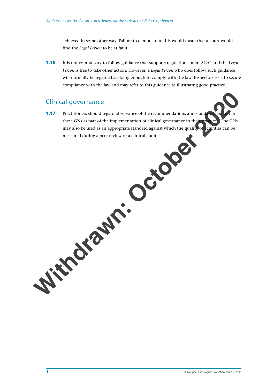achieved in some other way. Failure to demonstrate this would mean that a court would find the *Legal Person* to be at fault.

**1.16** It is not compulsory to follow guidance that supports regulations or an ACoP and the *Legal Person* is free to take other action. However, a *Legal Person* who does follow such guidance will normally be regarded as doing enough to comply with the law. Inspectors seek to secure compliance with the law and may refer to this guidance as illustrating good practice.

#### Clinical governance

**1.17** Practitioners should regard observance of the recommendations and stand these GNs as part of the implementation of clinical governance in their practices. The GNs may also be used as an appropriate standard against which the quality of activities can be measured during a peer review or a clinical audit. Clinical governance<br>
these casts are soluted these measured distributed of distribution Board – 2002<br>
these casts are protection by a comparison between the control and the control with the summer of the control and the co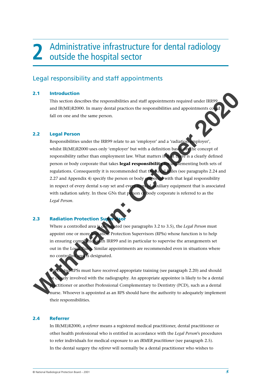# Administrative infrastructure for dental radiology **2** outside the hospital sector

#### Legal responsibility and staff appointments

#### **2.1 Introduction**

This section describes the responsibilities and staff appointments required under IRR99 and  $IR(ME)R2000$ . In many dental practices the responsibilities and appointments co fall on one and the same person.

#### **2.2 Legal Person**

Responsibilities under the IRR99 relate to an 'employer' and a 'radiation employer', whilst IR(ME)R2000 uses only 'employer' but with a definition based on the concept of responsibility rather than employment law. What matters is that there is a clearly defined person or body corporate that takes **legal responsibility** for implementing both sets of regulations. Consequently it is recommended that the Local Rules (see paragraphs 2.24 and 2.27 and Appendix 4) specify the person or body corporate with that legal responsibility in respect of every dental x-ray set and every item of auxiliary equipment that is associated with radiation safety. In these GNs that person  $\alpha$  body corporate is referred to as the *Legal Person*. Introduction<br>
This section describes the responsibilities and staff appointments required under IRB99<br>
and IRMF, IR2000. In many dental practices the responsibilities and appointments com<br>
fall on one and the same person.<br>

#### **2.3 Radiation Protection Sup**

Where a controlled area is designated (see paragraphs 3.2 to 3.5), the *Legal Person* must appoint one or more Radiation Protection Supervisors (RPSs) whose function is to help in ensuring compliance with IRR99 and in particular to supervise the arrangements set out in the Local Rules. Similar appointments are recommended even in situations where no controlled area is designated.

RPSs must have received appropriate training (see paragraph 2.20) and should  $\tilde{\text{elv}}$  involved with the radiography. An appropriate appointee is likely to be a dental practitioner or another Professional Complementary to Dentistry (PCD), such as a dental nurse. Whoever is appointed as an RPS should have the authority to adequately implement their responsibilities.

#### **2.4 Referrer**

In IR(ME)R2000, a *referrer* means a registered medical practitioner, dental practitioner or other health professional who is entitled in accordance with the *Legal Person*'s procedures to refer individuals for medical exposure to an *IRMER practitioner* (see paragraph 2.5). In the dental surgery the *referrer* will normally be a dental practitioner who wishes to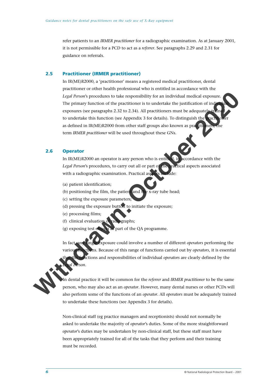refer patients to an *IRMER practitioner* for a radiographic examination. As at January 2001, it is not permissible for a PCD to act as a *referrer*. See paragraphs 2.29 and 2.31 for guidance on referrals.

#### **2.5 Practitioner (IRMER practitioner)**

In IR(ME)R2000, a 'practitioner' means a registered medical practitioner, dental practitioner or other health professional who is entitled in accordance with the *Legal Person*'s procedures to take responsibility for an individual medical exposure. The primary function of the practitioner is to undertake the justification of ind exposures (see paragraphs 2.32 to 2.34). All practitioners must be adequately trained to undertake this function (see Appendix 3 for details). To distinguish the as defined in IR(ME)R2000 from other staff groups also known as practitioners, the term *IRMER practitioner* will be used throughout these GNs. *f.gsd Person's* procedures to take responsibility for an individual medical exposure the particulation is to undertake this interaction and the particulation of the subsequential Board – 2001  $\mu$  With distinct the subseq

#### **2.6 Operator**

In IR(ME)R2000 an operator is any person who is entitled, in accordance with the *Legal Person*'s procedures, to carry out all or part of the practical aspects associated with a radiographic examination. Practical aspects include:

- (a) patient identification;
- (b) positioning the film, the patient and the x-ray tube head;
- (c) setting the exposure parameters;
- (d) pressing the exposure button to initiate the exposure;
- (e) processing films;
- (f) clinical evaluation of radiographs;
- (g) exposing test objects as part of the QA programme.

In fact, any single exposure could involve a number of different *operators* performing the lactions. Because of this range of functions carried out by *operators*, it is essential ctions and responsibilities of individual *operators* are clearly defined by the *Legal Person*.



In dental practice it will be common for the *referrer* and *IRMER practitioner* to be the same person, who may also act as an *operator*. However, many dental nurses or other PCDs will also perform some of the functions of an *operator*. All *operators* must be adequately trained to undertake these functions (see Appendix 3 for details).

Non-clinical staff (eg practice managers and receptionists) should not normally be asked to undertake the majority of *operator*'s duties. Some of the more straightforward *operator*'s duties may be undertaken by non-clinical staff, but these staff must have been appropriately trained for all of the tasks that they perform and their training must be recorded.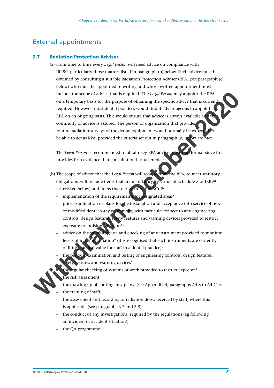#### External appointments

#### **2.7 Radiation Protection Adviser**

(a) From time to time every *Legal Person* will need advice on compliance with IRR99, particularly those matters listed in paragraph (b) below. Such advice must be obtained by consulting a suitable Radiation Protection Adviser (RPA) (see paragraph (c) below) who must be appointed in writing and whose written appointment must include the scope of advice that is required. The *Legal Person* may appoint the RPA on a temporary basis for the purpose of obtaining the specific advice that is currently required. However, most dental practices would find it advantageous to appoint a RPA on an ongoing basis. This would ensure that advice is always available and the continuity of advice is assured. The person or organisation that provides routine radiation surveys of the dental equipment would normally be expected to be able to act as RPA, provided the criteria set out in paragraph (c) below are met. include the scope of advice that is required. The *Legal Person* may appoint the RPA<br>on a temporary basis for the purpose of obtaining the specific advice that is corrected.<br>FRA on an ongoing basis. This would resurre that

The *Legal Person* is recommended to obtain key RPA advice in written format since this provides firm evidence that consultation has taken place.

- (b) The scope of advice that the *Legal Person* will require from the RPA, to meet statutory obligations, will include items that are mandatory by virtue of Schedule 5 of IRR99 (asterisked below) and items that derive from the ACoP:
	- implementation of the requirements for designated areas\*;
	- prior examination of plans for the installation and acceptance into service of new or modified dental x-ray equipment, with particular respect to any engineering controls, design features, safety features and warning devices provided to restrict exposure to ionising radiation\*;
	- advice on the suitability, use and checking of any instrument provided to monitor levels of ion sing radiation\* (it is recognised that such instruments are currently of little practical value for staff in a dental practice);
	- the periodic examination and testing of engineering controls, design features, fety features and warning devices\*:

regular checking of systems of work provided to restrict exposure\*; the risk assessment;



the drawing up of contingency plans. (see Appendix 4, paragraphs A4.8 to A4.11);

- the training of staff;
- the assessment and recording of radiation doses received by staff, where this is applicable (see paragraphs 3.7 and 3.8);
- the conduct of any investigations, required by the regulations (eg following an incident or accident situation);
- the QA programme.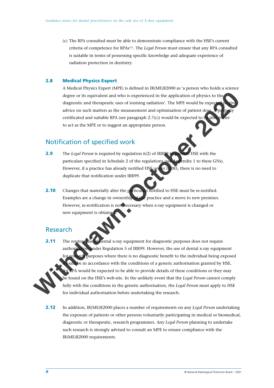(c) The RPA consulted must be able to demonstrate compliance with the HSE's current criteria of competence for RPAs<sup>(15)</sup>. The *Legal Person* must ensure that any RPA consulted is suitable in terms of possessing specific knowledge and adequate experience of radiation protection in dentistry.

#### **2.8 Medical Physics Expert**

A Medical Physics Expert (MPE) is defined in IR(ME)R2000 as 'a person who holds a science degree or its equivalent and who is experienced in the application of physics to the diagnostic and therapeutic uses of ionising radiation'. The MPE would be expected to give a give  $\alpha$ advice on such matters as the measurement and optimisation of patient dose. certificated and suitable RPA (see paragraph 2.7(c)) would be expected to b to act as the MPE or to suggest an appropriate person.

#### Notification of specified work

- **2.9** The *Legal Person* is required by regulation 6(2) of IRR99 to provide HSE with the particulars specified in Schedule 2 of the regulations (see Appendix 1 to these GNs). However, if a practice has already notified HSE under IRR85, there is no need to duplicate that notification under IRR99.
- **2.10** Changes that materially alter the particulars notified to HSE must be re-notified. Examples are a change in ownership of the practice and a move to new premises. However, re-notification is not necessary when x-ray equipment is changed or new equipment is obtained.

#### Research

- **2.11** The routine use of dental x-ray equipment for diagnostic purposes does not require authorisation under Regulation 5 of IRR99. However, the use of dental x-ray equipment for research purposes where there is no diagnostic benefit to the individual being exposed buld be in accordance with the conditions of a generic authorisation granted by HSE.  $RPA$  would be expected to be able to provide details of these conditions or they may be found on the HSE's web-site. In the unlikely event that the *Legal Person* cannot comply fully with the conditions in the generic authorisation, the *Legal Person* must apply to HSE for individual authorisation before undertaking the research. *8* degree or its equivalent and who is caperienced in the application of physics to the angulation in the system of the angulation in the MP would be expected by the continued and stable tires (as a continued and stable t
	- **2.12** In addition, IR(ME)R2000 places a number of requirements on any *Legal Person* undertaking the exposure of patients or other persons voluntarily participating in medical or biomedical, diagnostic or therapeutic, research programmes. Any *Legal Person* planning to undertake such research is strongly advised to consult an MPE to ensure compliance with the IR(ME)R2000 requirements.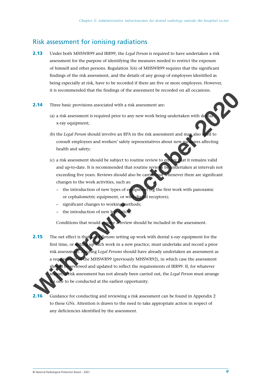#### Risk assessment for ionising radiations

- **2.13** Under both MHSWR99 and IRR99, the *Legal Person* is required to have undertaken a risk assessment for the purpose of identifying the measures needed to restrict the exposure of himself and other persons. Regulation 3(6) of MHSWR99 requires that the significant findings of the risk assessment, and the details of any group of employees identified as being especially at risk, have to be recorded if there are five or more employees. However, it is recommended that the findings of the assessment be recorded on all occasions.
- **2.14** Three basic provisions associated with a risk assessment are:
	- (a) a risk assessment is required prior to any new work being undertaken with dental x-ray equipment;
	- (b) the *Legal Person* should involve an RPA in the risk assessment and may also consult employees and workers' safety representatives about new measures affecting health and safety;
	- (c) a risk assessment should be subject to routine review to ensure that it remains valid and up-to-date. It is recommended that routine reviews be undertaken at intervals not exceeding five years. Reviews should also be carried out whenever there are significant changes to the work activities, such as:
		- the introduction of new types of equipment (eg the first work with panoramic or cephalometric equipment, or with digital receptors);
		- significant changes to working methods;
		- the introduction of new legislation.

Conditions that would require a review should be included in the assessment.

- **2.15** The net effect is that *Legal Persons* setting up work with dental x-ray equipment for the first time, or setting up such work in a new practice, must undertake and record a prior risk assessment. Existing *Legal Persons* should have already undertaken an assessment as a requirement of the MHSWR99 (previously MHSWR92), in which case the assessment d be reviewed and updated to reflect the requirements of IRR99. If, for whatever risk assessment has not already been carried out, the *Legal Person* must arrange for one to be conducted at the earliest opportunity. **Examined the the interaction of the statistical conduction of the Example of the statistical conductivity and the statistical conduction of the statistical conduction of the statistical conduction of the statistical cond**
- **2.16** Guidance for conducting and reviewing a risk assessment can be found in Appendix 2 to these GNs. Attention is drawn to the need to take appropriate action in respect of any deficiencies identified by the assessment.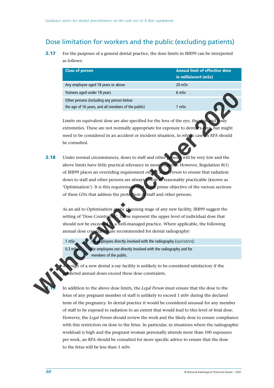#### Dose limitation for workers and the public (excluding patients)

**2.17** For the purposes of a general dental practice, the dose limits in IRR99 can be interpreted as follows:

| <b>Class of person</b>                              | <b>Annual limit of effective dose</b> |  |  |
|-----------------------------------------------------|---------------------------------------|--|--|
|                                                     | in millisievert (mSv)                 |  |  |
| Any employee aged 18 years or above                 | $20$ mS $v$                           |  |  |
| Trainees aged under 18 years                        | 6 mSv                                 |  |  |
| Other persons (including any person below           |                                       |  |  |
| the age of 16 years, and all members of the public) | 1 mSv                                 |  |  |

Limits on equivalent dose are also specified for the lens of the eye, the extremities. These are not normally appropriate for exposure to dental  $x$ -rays, but might need to be considered in an accident or incident situation, in which case an RPA should be consulted.

**2.18** Under normal circumstances, doses to staff and other persons will be very low and the above limits have little practical relevance in most surgeries. However, Regulation 8(1) of IRR99 places an overriding requirement on the *Legal Person* to ensure that radiation doses to staff and other persons are always as low as reasonably practicable (known as 'Optimisation'). It is this requirement that is the prime objective of the various sections of these GNs that address the protection of staff and other persons.

As an aid to Optimisation at the planning stage of any new facility, IRR99 suggest the setting of 'Dose Constraints'. These represent the upper level of individual dose that should not be exceeded in a well-managed practice. Where applicable, the following annual dose constraints are recommended for dental radiography:

- 1 mSv for employees directly involved with the radiography (*operators*); 0.3 mSv for employees not directly involved with the radiography and for
	- members of the public.

 $\hat{A}$  of a new dental x-ray facility is unlikely to be considered satisfactory if the pdicted annual doses exceed these dose constraints.

**2.19** In addition to the above dose limits, the *Legal Person* must ensure that the dose to the fetus of any pregnant member of staff is unlikely to exceed 1 mSv during the declared term of the pregnancy. In dental practice it would be considered unusual for any member of staff to be exposed to radiation to an extent that would lead to this level of fetal dose. However, the *Legal Person* should review the work and the likely dose to ensure compliance with this restriction on dose to the fetus. In particular, in situations where the radiographic workload is high and the pregnant woman personally attends more than 100 exposures per week, an RPA should be consulted for more specific advice to ensure that the dose to the fetus will be less than 1 mSv. **10 10** *n* **Consequent Consequent Consequent Consequent Consequent Consequent Consequent Consequent Consequent Consequent Consequent Consequent Consequent Consequent Consequent Consequent Consequent Consequent Consequ**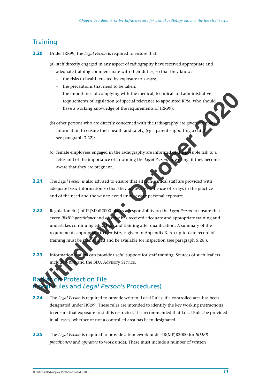## **Training**

- **2.20** Under IRR99, the *Legal Person* is required to ensure that:
	- (a) staff directly engaged in any aspect of radiography have received appropriate and adequate training commensurate with their duties, so that they know:
		- the risks to health created by exposure to x-rays;
		- the precautions that need to be taken;
		- the importance of complying with the medical, technical and administrative requirements of legislation (of special relevance to appointed RPSs, who should have a working knowledge of the requirements of IRR99);
	- (b) other persons who are directly concerned with the radiography are given ad information to ensure their health and safety, (eg a parent supporting a child see paragraph 3.22);
	- (c) female employees engaged in the radiography are informed of the possible risk to a fetus and of the importance of informing the *Legal Person*, in writing, if they become aware that they are pregnant.
- **2.21** The *Legal Person* is also advised to ensure that all **non-clinical** staff are provided with adequate basic information so that they are aware of the use of x-rays in the practice and of the need and the way to avoid unnecessary personal exposure.
- **2.22** Regulation 4(4) of IR(ME)R2000 places a responsibility on the *Legal Person* to ensure that every *IRMER practitioner* and *operator* has received adequate and appropriate training and undertakes continuing education and training after qualification. A summary of the requirements appropriate to dentistry is given in Appendix 3. An up-to-date record of training must be maintained and be available for inspection (see paragraph 5.26). • the importance complying with the media telescoil, technological and administrative<br>requirements of psychiatric protection BR99);<br>the radioaction because the requirements of BR99);<br>the other are working knowledge of th
- **2.23** Information leaflets can provide useful support for staff training. Sources of such leaflets **INRPB** and the BDA Advisory Service.

## **rotection File** dules and *Legal Person's Procedures*)

- **2.24** The *Legal Person* is required to provide written 'Local Rules' if a controlled area has been designated under IRR99. These rules are intended to identify the key working instructions to ensure that exposure to staff is restricted. It is recommended that Local Rules be provided in all cases, whether or not a controlled area has been designated.
- **2.25** The *Legal Person* is required to provide a framework under IR(ME)R2000 for *IRMER practitioners* and *operators* to work under. These must include a number of written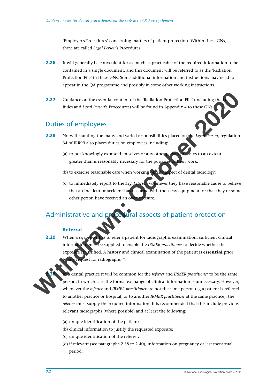'Employer's Procedures' concerning matters of patient protection. Within these GNs, these are called *Legal Person*'s Procedures.

- **2.26** It will generally be convenient for as much as practicable of the required information to be contained in a single document, and this document will be referred to as the 'Radiation Protection File' in these GNs. Some additional information and instructions may need to appear in the QA programme and possibly in some other working instructions.
- **2.27** Guidance on the essential content of the 'Radiation Protection File' (including the Rules and *Legal Person's Procedures*) will be found in Appendix 4 to these GN

#### Duties of employees

- **2.28** Notwithstanding the many and varied responsibilities placed on the *Legal Person*, regulation 34 of IRR99 also places duties on employees including:
	- (a) to not knowingly expose themselves or any other person to x-rays to an extent greater than is reasonably necessary for the purposes of their work;
	- (b) to exercise reasonable care when working on any aspect of dental radiology;
	- (c) to immediately report to the *Legal Person* whenever they have reasonable cause to believe that an incident or accident has occurred with the x-ray equipment, or that they or some other person have received an overexposure.

## Administrative and procedural aspects of patient protection

#### **Referral**

**2.29** When a *referre* wishes to refer a patient for radiographic examination, sufficient clinical information must be supplied to enable the *IRMER practitioner* to decide whether the exposure is justified. A history and clinical examination of the patient is **essential** prior to any radiographs<sup>(16)</sup>.



**2.30** In a dental practice it will be common for the *referrer* and *IRMER practitioner* to be the same person, in which case the formal exchange of clinical information is unnecessary. However, whenever the *referrer* and *IRMER practitioner* are not the same person (eg a patient is referred to another practice or hospital, or to another *IRMER practitioner* at the same practice), the *referrer* must supply the required information. It is recommended that this include previous relevant radiographs (where possible) and at least the following: 2.27 Ginklance in the essential content of the "kallation Photection Bile" (bicknailing the Columbus)<br>
Rules of employees<br>
2.28 Notenhatanding the many and varied responsibilities placed on **a** Legaritorio, regulation<br>
2

- (a) unique identification of the patient;
- (b) clinical information to justify the requested exposure;
- (c) unique identification of the referrer;
- (d) if relevant (see paragraphs 2.38 to 2.40), information on pregnancy or last menstrual period.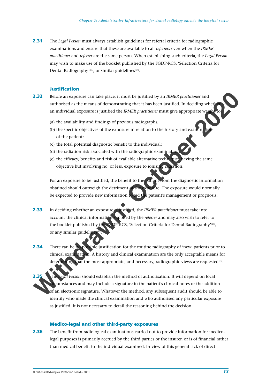**2.31** The *Legal Person* must always establish guidelines for referral criteria for radiographic examinations and ensure that these are available to all *referrers* even when the *IRMER practitioner* and *referrer* are the same person. When establishing such criteria, the *Legal Person* may wish to make use of the booklet published by the FGDP-RCS, 'Selection Criteria for Dental Radiography<sup>'(16)</sup>, or similar guidelines<sup>(17)</sup>.

#### **Justification**

- **2.32** Before an exposure can take place, it must be justified by an *IRMER practitioner* and authorised as the means of demonstrating that it has been justified. In deciding whet an individual exposure is justified the *IRMER practitioner* must give appropriate we
	- (a) the availability and findings of previous radiographs;
	- (b) the specific objectives of the exposure in relation to the history and examination of the patient;
	- (c) the total potential diagnostic benefit to the individual;
	- $(d)$  the radiation risk associated with the radiographic examination
	- (e) the efficacy, benefits and risk of available alternative techniques having the same objective but involving no, or less, exposure to ionising radiation.

For an exposure to be justified, the benefit to the patient from the diagnostic information obtained should outweigh the detriment of the exposure. The exposure would normally be expected to provide new information to aid the patient's management or prognosis.

- **2.33** In deciding whether an exposure is justified, the *IRMER practitioner* must take into account the clinical information supplied by the *referrer* and may also wish to refer to the booklet published by the FGDP-RCS, 'Selection Criteria for Dental Radiography'<sup>(16)</sup>, or any similar guideline
- **2.34** There can be no possible justification for the routine radiography of 'new' patients prior to clinical examination. A history and clinical examination are the only acceptable means for determining that the most appropriate, and necessary, radiographic views are requested<sup>(16)</sup>.
- **2.35** The *Legal Person* should establish the method of authorisation. It will depend on local cumstances and may include a signature in the patient's clinical notes or the addition of an electronic signature. Whatever the method, any subsequent audit should be able to identify who made the clinical examination and who authorised any particular exposure as justified. It is not necessary to detail the reasoning behind the decision. 2.22 Thefore an expussive can take plane, it must be invitined by an *IRMRR* precisions with an and<br>substituted in the means of denotinating flat it in a best best<br>interval and the action best protocol protocol protocol i

#### **Medico-legal and other third-party exposures**

**2.36** The benefit from radiological examinations carried out to provide information for medicolegal purposes is primarily accrued by the third parties or the insurer, or is of financial rather than medical benefit to the individual examined. In view of this general lack of direct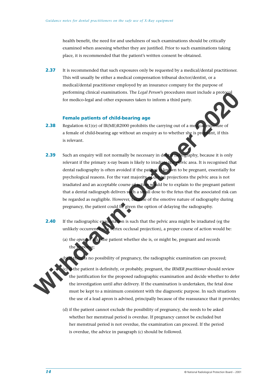health benefit, the need for and usefulness of such examinations should be critically examined when assessing whether they are justified. Prior to such examinations taking place, it is recommended that the patient's written consent be obtained.

**2.37** It is recommended that such exposures only be requested by a medical/dental practitioner. This will usually be either a medical compensation tribunal doctor/dentist, or a medical/dental practitioner employed by an insurance company for the purpose of performing clinical examinations. The *Legal Person's* procedures must include a proto for medico-legal and other exposures taken to inform a third party.

#### **Female patients of child-bearing age**

- **2.38** Regulation  $6(1)(e)$  of IR(ME)R2000 prohibits the carrying out of a medical a female of child-bearing age without an enquiry as to whether she is pregnant, if this is relevant.
- **2.39** Such an enquiry will not normally be necessary in dental radiography, because it is only relevant if the primary x-ray beam is likely to irradiate the pelvic area. It is recognised that dental radiography is often avoided if the patient is known to be pregnant, essentially for psychological reasons. For the vast majority of dental projections the pelvic area is not irradiated and an acceptable course of action would be to explain to the pregnant patient that a dental radiograph delivers such a small dose to the fetus that the associated risk can be regarded as negligible. However, because of the emotive nature of radiography during pregnancy, the patient could be given the option of delaying the radiography. Ferminant distribution The *Leap News procedures* annual Radiological Protection Board – 2.39<br> **Experiments** denicate a distribution Board – 2.49<br> **Fermale patients of child-bearing age**<br> **2.38** Regulation R(1)(e) or IR
	- **2.40** If the radiographic examination is such that the pelvic area might be irradiated (eg the unlikely occurrence of a vertex occlusal projection), a proper course of action would be:
		- (a) the *operator* asks the patient whether she is, or might be, pregnant and records  $th$  $e$ 
			- $\check{s}$  no possibility of pregnancy, the radiographic examination can proceed;



(c) if the patient is definitely, or probably, pregnant, the *IRMER practitioner* should review the justification for the proposed radiographic examination and decide whether to defer the investigation until after delivery. If the examination is undertaken, the fetal dose must be kept to a minimum consistent with the diagnostic purpose. In such situations the use of a lead apron is advised, principally because of the reassurance that it provides;

(d) if the patient cannot exclude the possibility of pregnancy, she needs to be asked whether her menstrual period is overdue. If pregnancy cannot be excluded but her menstrual period is not overdue, the examination can proceed. If the period is overdue, the advice in paragraph (c) should be followed.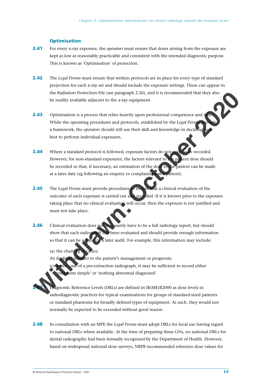#### **Optimisation**

- **2.41** For every x-ray exposure, the *operators* must ensure that doses arising from the exposure are kept as low as reasonably practicable and consistent with the intended diagnostic purpose. This is known as 'Optimisation' of protection.
- **2.42** The *Legal Person* must ensure that written protocols are in place for every type of standard projection for each x-ray set and should include the exposure settings. These can appear in the Radiation Protection File (see paragraph 2.26), and it is recommended that they also be readily available adjacent to the x-ray equipment.
- **2.43** Optimisation is a process that relies heavily upon professional competence and s While the operating procedures and protocols, established by the *Legal Perso* a framework, the *operators* should still use their skill and knowledge in deciding how best to perform individual exposures.
- **2.44** Where a standard protocol is followed, exposure factors do not need to be recorded. However, for non-standard exposures, the factors relevant to the patient dose should be recorded so that, if necessary, an estimation of the dose to the patient can be made at a later date (eg following an enquiry or complaint from a patient).
- **2.45** The *Legal Person* must provide procedures to ensure that a clinical evaluation of the outcome of each exposure is carried out and recorded. If it is known prior to the exposure taking place that no clinical evaluation will occur, then the exposure is not justified and must not take place. The Badistrian Protection Bit is to paragraphy 2.20, and it is recommended that they also<br>be readily available adjacent to the x-ray equipment.<br>
2.43 Optimisation be remeases that rediso heavily upon protessional competens
- **2.46** Clinical evaluation does not necessarily have to be a full radiology report, but should show that each radiograph has been evaluated and should provide enough information so that it can be subject to a later audit. For example, this information may include:
	- (a) the charting
	- $\overline{b}$  find to the patient's management or prognosis;
	- case of a pre-extraction radiograph, it may be sufficient to record either 'root form simple' or 'nothing abnormal diagnosed'.
	- **2.47** Diagnostic Reference Levels (DRLs) are defined in IR(ME)R2000 as dose levels in radiodiagnostic practices for typical examinations for groups of standard-sized patients or standard phantoms for broadly defined types of equipment. As such, they would not normally be expected to be exceeded without good reason.
- **2.48** In consultation with an MPE the *Legal Person* must adopt DRLs for local use having regard to national DRLs where available. At the time of preparing these GNs, no national DRLs for dental radiography had been formally recognised by the Department of Health. However, based on widespread national dose surveys, NRPB recommended reference dose values for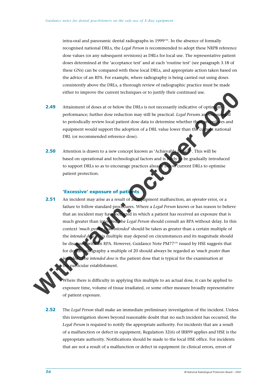intra-oral and panoramic dental radiographs in 1999<sup>(18)</sup>. In the absence of formally recognised national DRLs, the *Legal Person* is recommended to adopt these NRPB reference dose values (or any subsequent revisions) as DRLs for local use. The representative patient doses determined at the 'acceptance test' and at each 'routine test' (see paragraph 3.18 of these GNs) can be compared with these local DRLs, and appropriate action taken based on the advice of an RPA. For example, where radiography is being carried out using doses consistently above the DRLs, a thorough review of radiographic practice must be made either to improve the current techniques or to justify their continued use.

- **2.49** Attainment of doses at or below the DRLs is not necessarily indicative of optimum performance; further dose reduction may still be practical. *Legal Persons* are ento periodically review local patient dose data to determine whether their procedures and equipment would support the adoption of a DRL value lower than the current national DRL (or recommended reference dose).
- **2.50** Attention is drawn to a new concept known as 'Achievable Dose'<sup>(1)</sup>. This will be based on operational and technological factors and is likely to be gradually introduced to support DRLs so as to encourage practices already below current DRLs to optimise patient protection.

#### 'Excessive' exposure of patients

**2.51** An incident may arise as a result of an equipment malfunction, an *operator* error, or a failure to follow standard procedures. Where a *Legal Person* knows or has reason to believe that an incident may have occurred in which a patient has received an exposure that is much greater than intended, the *Legal Person* should consult an RPA without delay. In this context *'much greater than intended'* should be taken as greater than a certain multiple of the *intended dose*. This multiple may depend on circumstances and its magnitude should be discussed with an RPA. However, Guidance Note PM77<sup>(19)</sup> issued by HSE suggests that for dental radiography a multiple of 20 should always be regarded as '*much greater than*  $\tilde{h}$ e *intended dose* is the patient dose that is typical for the examination at particular establishment. Final Radio Control and Construction Board – 2.59<br> **2.49**<br> **2.49**<br> **2.49**<br> **2.49**<br> **2.49**<br> **2.49**<br> **2.49**<br> **2.49**<br> **2.49**<br> **2.49**<br> **2.49**<br> **2.49**<br> **2.49**<br> **2.49**<br> **2.49**<br> **2.49**<br> **2.49**<br> **2.49**<br> **2.49**<br> **2.49**<br> **2.49**<br> **2** 

Where there is difficulty in applying this multiple to an actual dose, it can be applied to exposure time, volume of tissue irradiated, or some other measure broadly representative of patient exposure.

**2.52** The *Legal Person* shall make an immediate preliminary investigation of the incident. Unless this investigation shows beyond reasonable doubt that no such incident has occurred, the *Legal Person* is required to notify the appropriate authority. For incidents that are a result of a malfunction or defect in equipment, Regulation 32(6) of IRR99 applies and HSE is the appropriate authority. Notifications should be made to the local HSE office. For incidents that are not a result of a malfunction or defect in equipment (ie clinical errors, errors of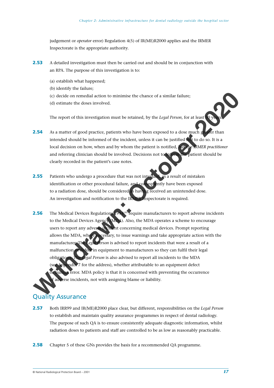judgement or *operator* error) Regulation 4(5) of IR(ME)R2000 applies and the IRMER Inspectorate is the appropriate authority.

- **2.53** A detailed investigation must then be carried out and should be in conjunction with an RPA. The purpose of this investigation is to:
	- (a) establish what happened;
	- (b) identify the failure;
	- (c) decide on remedial action to minimise the chance of a similar failure;
	- (d) estimate the doses involved.

The report of this investigation must be retained, by the *Legal Person*, for at least 50 years.

- **2.54** As a matter of good practice, patients who have been exposed to a dose much greater than intended should be informed of the incident, unless it can be justified not to do so. It is a local decision on how, when and by whom the patient is notified, but the *RMER practitioner* and referring clinician should be involved. Decisions not to hafter the patient should be clearly recorded in the patient's case notes.
- **2.55** Patients who undergo a procedure that was not intended, as a result of mistaken identification or other procedural failure, and consequently have been exposed to a radiation dose, should be considered as having received an unintended dose. An investigation and notification to the IRMER Inspectorate is required.
- **2.56** The Medical Devices Regulations 1994<sup>20</sup> require manufacturers to report adverse incidents to the Medical Devices Agency (MDA). Also, the MDA operates a scheme to encourage users to report any adverse incident concerning medical devices. Prompt reporting allows the MDA, where necessary, to issue warnings and take appropriate action with the manufacturer. The *Legal Person* is advised to report incidents that were a result of a malfunction or defect in equipment to manufacturers so they can fulfil their legal obligations. The *Legal Person* is also advised to report all incidents to the MDA  $\eta$ dix 7 for the address), whether attributable to an equipment defect our an error. MDA policy is that it is concerned with preventing the occurrence adverse incidents, not with assigning blame or liability. (c) decide on ramedal action to minimiste the chance of a similar failure.<br>
(d) estimate the doses involved.<br>
The report of this investment in most be relationed by the Legal Proton, for at least<br>  $\frac{1}{2}$  are matted of

#### Quality Assurance

- **2.57** Both IRR99 and IR(ME)R2000 place clear, but different, responsibilities on the *Legal Person* to establish and maintain quality assurance programmes in respect of dental radiology. The purpose of such QA is to ensure consistently adequate diagnostic information, whilst radiation doses to patients and staff are controlled to be as low as reasonably practicable.
- **2.58** Chapter 5 of these GNs provides the basis for a recommended QA programme.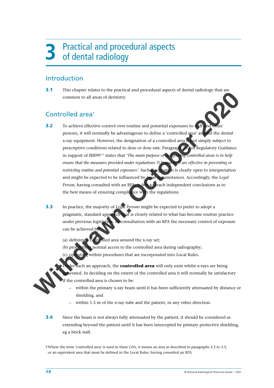# Practical and procedural aspects **3** of dental radiology

#### Introduction

**3.1** This chapter relates to the practical and procedural aspects of dental radiology that are common to all areas of dentistry.

#### Controlled area†

- **3.2** To achieve effective control over routine and potential exposures to staff persons, it will normally be advantageous to define a 'controlled area' around the dental x-ray equipment. However, the designation of a controlled area is not simply subject to prescriptive conditions related to dose or dose rate. Paragraph 252 of Regulatory Guidance in support of IRR99<sup>(11)</sup> states that *'The main purpose of* designating controlled areas is to help *ensure that the measures provided under regulations 7(3) and 8(1) are effective in preventing or restricting routine and potential exposures'*. Such designation is clearly open to interpretation and might be expected to be influenced by local circumstances. Accordingly, the *Legal Person*, having consulted with an RPA, is free to reach independent conclusions as to the best means of ensuring compliance with the regulations. Controlled area the state area that must be defined in the consulted and in the consulted and the consulted in the consulted and the consulted and the Local Rules.<br>
The Local Rules and the Local Rules and the Consulted and
	- **3.3** In practice, the majority of *Legal Persons* might be expected to prefer to adopt a pragmatic, standard approach that is closely related to what has become routine practice under previous legislation. In consultation with an RPA the necessary control of exposure can be achieved by
		- (a) defining  $\bullet$  controlled area around the x-ray set;
		- (b) prohibiting normal access to the controlled area during radiography;
		- (c) operating within procedures that are incorporated into Local Rules.

such an approach, the **controlled area** will only exist whilst x-rays are being erated. In deciding on the extent of the controlled area it will normally be satisfactory the controlled area is chosen to be:

- within the primary x-ray beam until it has been sufficiently attenuated by distance or shielding, and
- within 1.5 m of the x-ray tube and the patient, in any other direction.
- **3.4** Since the beam is not always fully attenuated by the patient, it should be considered as extending beyond the patient until it has been intercepted by primary protective shielding, eg a brick wall.

†Where the term 'controlled area' is used in these GNs, it means an area as described in paragraphs 3.2 to 3.5,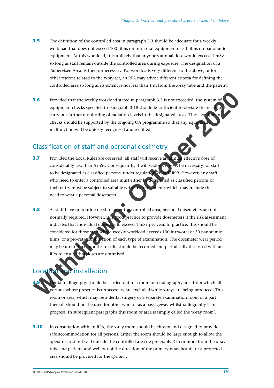- **3.5** The definition of the controlled area in paragraph 3.3 should be adequate for a weekly workload that does not exceed 100 films on intra-oral equipment or 50 films on panoramic equipment. At this workload, it is unlikely that anyone's annual dose would exceed 1 mSv, so long as staff remain outside the controlled area during exposure. The designation of a 'Supervised Area' is then unnecessary. For workloads very different to the above, or for other reasons related to the x-ray set, an RPA may advise different criteria for defining the controlled area so long as its extent is not less than 1 m from the x-ray tube and the patient.
- **3.6** Provided that the weekly workload stated in paragraph 3.5 is not exceeded, the system of equipment checks specified in paragraph 3.18 should be sufficient to obviate the need carry out further monitoring of radiation levels in the designated areas. These equipchecks should be supported by the ongoing QA programme so that any equipmalfunction will be quickly recognised and rectified.

#### Classification of staff and personal dosimetry

- **3.7** Provided the Local Rules are observed, all staff will receive an annual effective dose of considerably less than 6 mSv. Consequently, it will seldom, it ever, be necessary for staff to be designated as classified persons, under regulation 20 of IRR99. However, any staff who need to enter a controlled area must either be designated as classified persons or their entry must be subject to suitable written arrangements which may include the need to wear a personal dosemeter.
- **3.8** As staff have no routine need to enter the controlled area, personal dosemeters are not normally required. However, it is good practice to provide dosemeters if the risk assessment indicates that individual doses could exceed 1 mSv per year. In practice, this should be considered for those staff whose weekly workload exceeds 100 intra-oral or 50 panoramic films, or a pro-rata combination of each type of examination. The dosemeter wear period may be up to three months; results should be recorded and periodically discussed with an RPA to ensure that doses are optimised. Provided that the weekly workload stated in paragraph 3.5 is not exceeded, the system of equipment checks speeded in paragraph 3.8 is not exceeded. The system of early out the three interprets in the system of the system o

## Location and installation

- **3.9** Dental radiography should be carried out in a room or a radiography area from which all persons whose presence is unnecessary are excluded while x-rays are being produced. This room or area, which may be a dental surgery or a separate examination room or a part thereof, should not be used for other work or as a passageway whilst radiography is in progress. In subsequent paragraphs this room or area is simply called the 'x-ray room'.
- **3.10** In consultation with an RPA, the x-ray room should be chosen and designed to provide safe accommodation for all persons. Either the room should be large enough to allow the operator to stand well outside the controlled area (ie preferably 2 m or more from the x-ray tube and patient, and well out of the direction of the primary x-ray beam), or a protected area should be provided for the *operator*.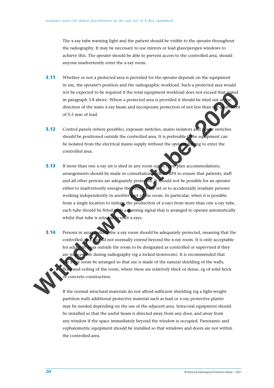The x-ray tube warning light and the patient should be visible to the *operator* throughout the radiography. It may be necessary to use mirrors or lead glass/perspex windows to achieve this. The *operator* should be able to prevent access to the controlled area, should anyone inadvertently enter the x-ray room.

- **3.11** Whether or not a protected area is provided for the *operator* depends on the equipment in use, the *operator*'s position and the radiographic workload. Such a protected area would not be expected to be required if the total equipment workload does not exceed that stated in paragraph 3.8 above. Where a protected area is provided it should be sited out of the direction of the main x-ray beam and incorporate protection of not less than  $t$ of 0.5 mm of lead.
- **3.12** Control panels (where possible), exposure switches, mains isolators and power switches should be positioned outside the controlled area. It is preferable if the equipment can be isolated from the electrical mains supply without the *operator* having to enter the controlled area.
- **3.13** If more than one x-ray set is sited in any room (eg in open plan accommodation), arrangements should be made in consultation with an RPA to ensure that patients, staff and all other persons are adequately protected. It should not be possible for an *operator* either to inadvertently energise the wrong x-ray set or to accidentally irradiate persons working independently in another part of the room. In particular, when it is possible from a single location to initiate the production of x-rays from more than one x-ray tube, each tube should be fitted with a warning signal that is arranged to operate automatically whilst that tube is selected to emit x-rays. and the expected that the total controlled the total controlled on the most and the stational Radiological Proteinal Radiological Proteinal Radiological Proteinal Radiological Proteinal Radiological Controlled Board – 201
	- **3.14** Persons in areas outside the x-ray room should be adequately protected, meaning that the controlled area should not normally extend beyond the x-ray room. It is only acceptable for adjacent areas outside the room to be designated as controlled or supervised if they are inaccessible during radiography (eg a locked storeroom). It is recommended that  $\frac{1}{2}$   $\frac{1}{2}$   $\frac{1}{2}$  room be arranged so that use is made of the natural shielding of the walls, floor and ceiling of the room, where these are relatively thick or dense, eg of solid brick or concrete construction.

If the normal structural materials do not afford sufficient shielding (eg a light-weight partition wall) additional protective material such as lead or x-ray protective plaster may be needed depending on the use of the adjacent area. Intra-oral equipment should be installed so that the useful beam is directed away from any door, and away from any window if the space immediately beyond the window is occupied. Panoramic and cephalometric equipment should be installed so that windows and doors are not within the controlled area.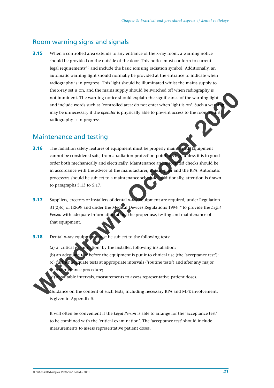#### Room warning signs and signals

**3.15** When a controlled area extends to any entrance of the x-ray room, a warning notice should be provided on the outside of the door. This notice must conform to current legal requirements<sup>(21)</sup> and include the basic ionising radiation symbol. Additionally, an automatic warning light should normally be provided at the entrance to indicate when radiography is in progress. This light should be illuminated whilst the mains supply to the x-ray set is on, and the mains supply should be switched off when radiography is not imminent. The warning notice should explain the significance of the warning light and include words such as 'controlled area: do not enter when light is on'. Such a war may be unnecessary if the *operator* is physically able to prevent access to the room radiography is in progress.

#### Maintenance and testing

- **3.16** The radiation safety features of equipment must be properly maintained. Equipment cannot be considered safe, from a radiation protection point of view, unless it is in good order both mechanically and electrically. Maintenance and associated checks should be in accordance with the advice of the manufacturer, the supplier and the RPA. Automatic processors should be subject to a maintenance schedule. Additionally, attention is drawn to paragraphs 5.13 to 5.17. The stational Radio and A stational Radio and Radio and Radio and Radio and Radio and Radio and Radio and Radio and Radio and Radio and Radio and Radio and Radio and Radio and Radio and Radio and Radio and Radio and Radio
- **3.17** Suppliers, erectors or installers of dental x-ray equipment are required, under Regulation 31(2)(c) of IRR99 and under the Medical Devices Regulations 1994<sup>(20)</sup> to provide the *Legal Person* with adequate information about the proper use, testing and maintenance of that equipment.
- **3.18** Dental x-ray equipment must be subject to the following tests:
	- (a) a 'critical examination' by the installer, following installation;
	- (b) an adequate test before the equipment is put into clinical use (the 'acceptance test'):
	- er adequate tests at appropriate intervals ('routine tests') and after any major intenance procedure;
		- suitable intervals, measurements to assess representative patient doses.

Guidance on the content of such tests, including necessary RPA and MPE involvement, is given in Appendix 5.

It will often be convenient if the *Legal Person* is able to arrange for the 'acceptance test' to be combined with the 'critical examination'. The 'acceptance test' should include measurements to assess representative patient doses.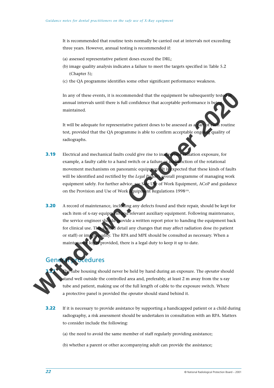It is recommended that routine tests normally be carried out at intervals not exceeding three years. However, annual testing is recommended if:

- (a) assessed representative patient doses exceed the DRL;
- (b) image quality analysis indicates a failure to meet the targets specified in Table 5.2 (Chapter 5);
- (c) the QA programme identifies some other significant performance weakness.

In any of these events, it is recommended that the equipment be subsequently tested and  $\mathbf{r}$ annual intervals until there is full confidence that acceptable performance is b maintained.

It will be adequate for representative patient doses to be assessed as a part test, provided that the QA programme is able to confirm acceptable ongoing quality of radiographs.

- **3.19** Electrical and mechanical faults could give rise to inadvertent radiation exposure, for example, a faulty cable to a hand switch or a failure or malfunction of the rotational movement mechanisms on panoramic equipment. It is expected that these kinds of faults will be identified and rectified by the *Legal Person*'s overall programme of managing work equipment safely. For further advice, see Safe Use of Work Equipment, ACoP and guidance on the Provision and Use of Work Equipment Regulations 1998<sup>(10)</sup>. **22** Determined the three control is in technological Board – 2002 Considers the system of the system of the system of the system of the system of the system of the system of the system of the system of the system of the s
	- **3.20** A record of maintenance, including any defects found and their repair, should be kept for each item of x-ray equipment and relevant auxiliary equipment. Following maintenance, the service engineer should provide a written report prior to handing the equipment back for clinical use. This should detail any changes that may affect radiation dose (to patient or staff) or image quality. The RPA and MPE should be consulted as necessary. When a maintenance log is provided, there is a legal duty to keep it up to date.

#### *<u>dedures</u>*



**3.21** The tube housing should never be held by hand during an exposure. The *operator* should stand well outside the controlled area and, preferably, at least 2 m away from the x-ray tube and patient, making use of the full length of cable to the exposure switch. Where a protective panel is provided the *operator* should stand behind it.

- **3.22** If it is necessary to provide assistance by supporting a handicapped patient or a child during radiography, a risk assessment should be undertaken in consultation with an RPA. Matters to consider include the following:
	- (a) the need to avoid the same member of staff regularly providing assistance;
	- (b) whether a parent or other accompanying adult can provide the assistance;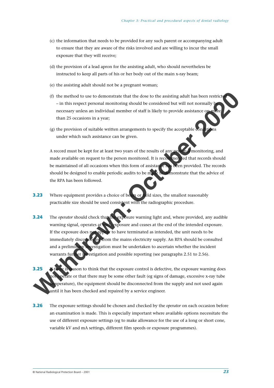- (c) the information that needs to be provided for any such parent or accompanying adult to ensure that they are aware of the risks involved and are willing to incur the small exposure that they will receive;
- (d) the provision of a lead apron for the assisting adult, who should nevertheless be instructed to keep all parts of his or her body out of the main x-ray beam;
- (e) the assisting adult should not be a pregnant woman;
- (f) the method to use to demonstrate that the dose to the assisting adult has been restricted – in this respect personal monitoring should be considered but will not normally be necessary unless an individual member of staff is likely to provide assistance or than 25 occasions in a year;
- (g) the provision of suitable written arrangements to specify the acceptable  $\overline{con}$ under which such assistance can be given.

A record must be kept for at least two years of the results of any personal monitoring, and made available on request to the person monitored. It is recommended that records should be maintained of all occasions when this form of assistance has been provided. The records should be designed to enable periodic audits to be made to demonstrate that the advice of the RPA has been followed.

- **3.23** Where equipment provides a choice of beam or field sizes, the smallest reasonably practicable size should be used consistent with the radiographic procedure.
- **3.24** The *operator* should check that the exposure warning light and, where provided, any audible warning signal, operates at each exposure and ceases at the end of the intended exposure. If the exposure does not appear to have terminated as intended, the unit needs to be immediately disconnected from the mains electricity supply. An RPA should be consulted and a preliminary investigation must be undertaken to ascertain whether the incident warrants further investigation and possible reporting (see paragraphs 2.51 to 2.56). (f) the method to use to demonstrate that the dose to the assisting adult has been restricted - in this respect personal monitolagical board of solition and solition and the second must be contained at solition of static
- **3.25** If there is reason to think that the exposure control is defective, the exposure warning does not operate or that there may be some other fault (eg signs of damage, excessive x-ray tube  $t$ p $\epsilon$ rature), the equipment should be disconnected from the supply and not used again until it has been checked and repaired by a service engineer.
- **3.26** The exposure settings should be chosen and checked by the *operator* on each occasion before an examination is made. This is especially important where available options necessitate the use of different exposure settings (eg to make allowance for the use of a long or short cone, variable kV and mA settings, different film speeds or exposure programmes).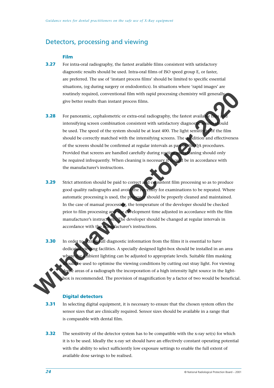#### Detectors, processing and viewing

#### **Film**

- **3.27** For intra-oral radiography, the fastest available films consistent with satisfactory diagnostic results should be used. Intra-oral films of ISO speed group E, or faster, are preferred. The use of 'instant process films' should be limited to specific essential situations, (eg during surgery or endodontics). In situations where 'rapid images' are routinely required, conventional film with rapid processing chemistry will generally give better results than instant process films.
- **3.28** For panoramic, cephalometric or extra-oral radiography, the fastest available film intensifying screen combination consistent with satisfactory diagnost be used. The speed of the system should be at least 400. The light sensitivity of the film should be correctly matched with the intensifying screens. The condition and effectiveness of the screens should be confirmed at regular intervals as part of the QA procedures. Provided that screens are handled carefully during routine use, cleaning should only be required infrequently. When cleaning is necessary it should be in accordance with the manufacturer's instructions. **24** Proteinal Radiological Contention Board (and the state of the state of the state of the state result of the state result in the state of the state of the state of the state of the state of the state of the state of th
	- **3.29** Strict attention should be paid to correct and consistent film processing so as to produce good quality radiographs and avoid the necessity for examinations to be repeated. Where automatic processing is used, the processor should be properly cleaned and maintained. In the case of manual processing, the temperature of the developer should be checked prior to film processing and the development time adjusted in accordance with the film manufacturer's instructions. The developer should be changed at regular intervals in accordance with the manufacturer's instructions.
	- **3.30** In order to extract full diagnostic information from the films it is essential to have dedicated viewing facilities. A specially designed light-box should be installed in an area where the ambient lighting can be adjusted to appropriate levels. Suitable film masking ould be used to optimise the viewing conditions by cutting out stray light. For viewing de areas of a radiograph the incorporation of a high intensity light source in the lightbox is recommended. The provision of magnification by a factor of two would be beneficial.

#### **Digital detectors**

- **3.31** In selecting digital equipment, it is necessary to ensure that the chosen system offers the sensor sizes that are clinically required. Sensor sizes should be available in a range that is comparable with dental film.
- **3.32** The sensitivity of the detector system has to be compatible with the x-ray set(s) for which it is to be used. Ideally the x-ray set should have an effectively constant operating potential with the ability to select sufficiently low exposure settings to enable the full extent of available dose savings to be realised.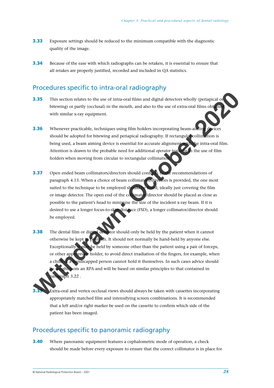- **3.33** Exposure settings should be reduced to the minimum compatible with the diagnostic quality of the image.
- **3.34** Because of the ease with which radiographs can be retaken, it is essential to ensure that all retakes are properly justified, recorded and included in QA statistics.

#### Procedures specific to intra-oral radiography

- **3.35** This section relates to the use of intra-oral films and digital detectors wholly (periapical or bitewing) or partly (occlusal) in the mouth, and also to the use of extra-oral films obtained with similar x-ray equipment.
- **3.36** Whenever practicable, techniques using film holders incorporating beam-aiming devices should be adopted for bitewing and periapical radiography. If rectangular collimation is being used, a beam aiming device is essential for accurate alignment with the intra-oral film. Attention is drawn to the probable need for additional *operator* training in the use of film holders when moving from circular to rectangular collimation
- **3.37** Open ended beam collimators/directors should conform to the recommendations of paragraph 4.13. When a choice of beam collimators/directors is provided, the one most suited to the technique to be employed should be fitted, ideally just covering the film or image detector. The open end of the collimator/director should be placed as close as possible to the patient's head to minimise the size of the incident x-ray beam. If it is desired to use a longer focus-to-skin distance (FSD), a longer collimator/director should be employed. 3.35 This section relates to the use of intra-real flux and disjust detection which georianisation<br>bitwisting or party occideally in the month, and also to the use of extra-real flux obtation in which simular stary squiri
- **3.38** The dental film or digital detector should only be held by the patient when it cannot otherwise be kept in position. It should not normally be hand-held by anyone else. Exceptionally it may be held by someone other than the patient using a pair of forceps, or other appropriate holder, to avoid direct irradiation of the fingers, for example, when a child or a handicapped person cannot hold it themselves. In such cases advice should ight from an RPA and will be based on similar principles to that contained in paragraph 3.22 .

**3.39** Extra-oral and vertex occlusal views should always be taken with cassettes incorporating appropriately matched film and intensifying screen combinations. It is recommended that a left and/or right marker be used on the cassette to confirm which side of the patient has been imaged.

#### Procedures specific to panoramic radiography

**3.40** Where panoramic equipment features a cephalometric mode of operation, a check should be made before every exposure to ensure that the correct collimator is in place for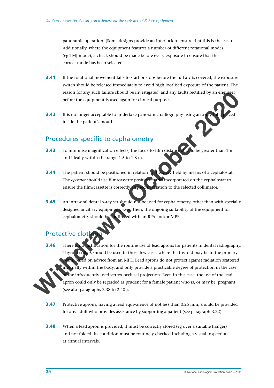panoramic operation. (Some designs provide an interlock to ensure that this is the case). Additionally, where the equipment features a number of different rotational modes (eg TMJ mode), a check should be made before every exposure to ensure that the correct mode has been selected.

- **3.41** If the rotational movement fails to start or stops before the full arc is covered, the exposure switch should be released immediately to avoid high localised exposure of the patient. The reason for any such failure should be investigated, and any faults rectified by an engineer before the equipment is used again for clinical purposes.
- **3.42** It is no longer acceptable to undertake panoramic radiography using an inside the patient's mouth.

#### Procedures specific to cephalometry

- **3.43** To minimise magnification effects, the focus-to-film distance should be greater than 1m and ideally within the range 1.5 to 1.8 m.
- **3.44** The patient should be positioned in relation to the x-ray field by means of a cephalostat. The *operator* should use film/cassette position marks incorporated on the cephalostat to ensure the film/cassette is correctly aligned in relation to the selected collimator.
- **3.45** An intra-oral dental x-ray set should not be used for cephalometry, other than with specially designed ancillary equipment. Even then, the ongoing suitability of the equipment for cephalometry should be confirmed with an RPA and/or MPE.

#### Protective cloth

- **3.46** There is no ustification for the routine use of lead aprons for patients in dental radiography. Thyroid collars should be used in those few cases where the thyroid may be in the primary based on advice from an MPE. Lead aprons do not protect against radiation scattered internally within the body, and only provide a practicable degree of protection in the case The infrequently used vertex occlusal projection. Even in this case, the use of the lead apron could only be regarded as prudent for a female patient who is, or may be, pregnant (see also paragraphs 2.38 to 2.40 ). **26** Protective closing with false show the three spaces of the interesting and the three states and and the space of the space of the space of the space of the space of the space of the space of the space of the space of
	- **3.47** Protective aprons, having a lead equivalence of not less than 0.25 mm, should be provided for any adult who provides assistance by supporting a patient (see paragraph 3.22).
	- **3.48** When a lead apron is provided, it must be correctly stored (eg over a suitable hanger) and not folded. Its condition must be routinely checked including a visual inspection at annual intervals.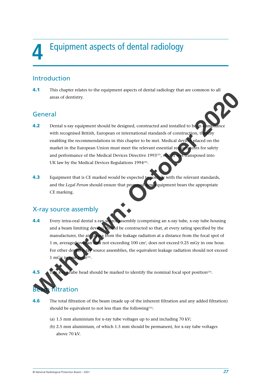

#### Introduction

**4.1** This chapter relates to the equipment aspects of dental radiology that are common to all areas of dentistry.

#### General

- **4.2** Dental x-ray equipment should be designed, constructed and installed to be in compliance with recognised British, European or international standards of construction, thereby enabling the recommendations in this chapter to be met. Medical devices placed on the market in the European Union must meet the relevant essential requirements for safety and performance of the Medical Devices Directive 1993<sup>(22)</sup>, which was transposed into UK law by the Medical Devices Regulations  $1994^{(20)}$ .
- **4.3** Equipment that is CE marked would be expected to comply with the relevant standards, and the *Legal Person* should ensure that proposed new equipment bears the appropriate CE marking.

#### X-ray source assembly

- **4.4** Every intra-oral dental x-ray source assembly (comprising an x-ray tube, x-ray tube housing and a beam limiting device) should be constructed so that, at every rating specified by the manufacturer, the air kerma from the leakage radiation at a distance from the focal spot of 1 m, averaged over an area not exceeding 100 cm<sup>2</sup>, does not exceed 0.25 mGy in one hour. For other dental x-ray source assemblies, the equivalent leakage radiation should not exceed  $1 \text{ mGy}$  in one hour<sup>(23)</sup>. Seneoral Radiological Protocological Constructed and invalid to the protocological Protocological Strategies of the strategies of the strategies of the strategies of the strategies of the market in the European Union must
- tube head should be marked to identify the nominal focal spot position<sup>(24)</sup>.

## filtration

- **4.6** The total filtration of the beam (made up of the inherent filtration and any added filtration) should be equivalent to not less than the following $(23)$ :
	- (a) 1.5 mm aluminium for x-ray tube voltages up to and including 70 kV;
	- (b) 2.5 mm aluminium, of which 1.5 mm should be permanent, for x-ray tube voltages above 70 kV.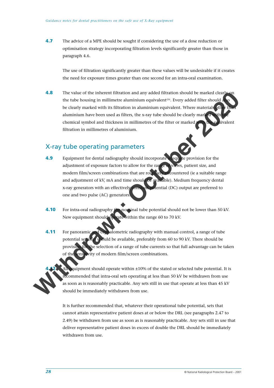**4.7** The advice of a MPE should be sought if considering the use of a dose reduction or optimisation strategy incorporating filtration levels significantly greater than those in paragraph 4.6.

The use of filtration significantly greater than these values will be undesirable if it creates the need for exposure times greater than one second for an intra-oral examination.

**4.8** The value of the inherent filtration and any added filtration should be marked clearly the tube housing in millimetre aluminium equivalent<sup>(24)</sup>. Every added filter should a be clearly marked with its filtration in aluminium equivalent. Where materials other aluminium have been used as filters, the x-ray tube should be clearly marked chemical symbol and thickness in millimetres of the filter or marked with the equivalent filtration in millimetres of aluminium. **28** One value of the indeterministics and any added that one anisotropic field we make the state of the interaction Radiological Protection Board – by constraining equivalent with the fitterstood in submitted to the dist

#### X-ray tube operating parameters

- **4.9** Equipment for dental radiography should incorporate adequate provision for the adjustment of exposure factors to allow for the range of views, patient size, and modern film/screen combinations that are routinely encountered (ie a suitable range and adjustment of kV, mA and time should be available). Medium frequency dental x-ray generators with an effectively constant potential (DC) output are preferred to one and two pulse (AC) generators.
- **4.10** For intra-oral radiography the nominal tube potential should not be lower than 50 kV. New equipment should operate within the range 60 to 70 kV.
- **4.11** For panoramic and cephalometric radiography with manual control, a range of tube potential settings should be available, preferably from 60 to 90 kV. There should be provision for the selection of a range of tube currents so that full advantage can be taken of the sensitivity of modern film/screen combinations.



**4.12** All equipment should operate within ±10% of the stated or selected tube potential. It is recommended that intra-oral sets operating at less than 50 kV be withdrawn from use as soon as is reasonably practicable. Any sets still in use that operate at less than 45 kV should be immediately withdrawn from use.

It is further recommended that, whatever their operational tube potential, sets that cannot attain representative patient doses at or below the DRL (see paragraphs 2.47 to 2.49) be withdrawn from use as soon as is reasonably practicable. Any sets still in use that deliver representative patient doses in excess of double the DRL should be immediately withdrawn from use.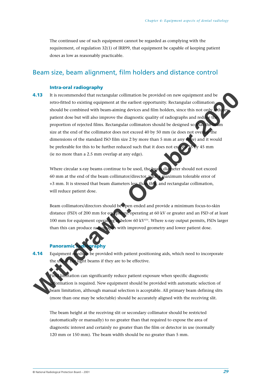The continued use of such equipment cannot be regarded as complying with the requirement, of regulation 32(1) of IRR99, that equipment be capable of keeping patient doses as low as reasonably practicable.

#### Beam size, beam alignment, film holders and distance control

#### **Intra-oral radiography**

**4.13** It is recommended that rectangular collimation be provided on new equipment and be retro-fitted to existing equipment at the earliest opportunity. Rectangular collimation should be combined with beam-aiming devices and film holders, since this not only  $\mathbf{\hat{r}}$ patient dose but will also improve the diagnostic quality of radiographs and reduce the proportion of rejected films. Rectangular collimators should be designed so that the size at the end of the collimator does not exceed 40 by 50 mm (ie does not overlap dimensions of the standard ISO film size 2 by more than 5 mm at any  $\det$  ge) and it would be preferable for this to be further reduced such that it does not exceed 35 by 45 mm (ie no more than a 2.5 mm overlap at any edge). 4.13 Its recommended that rectaining the controlled controlled on new equipment and the contribution of recombination behavior and the simulation by radiological resolution by the controlled Department of the steadard DSO

Where circular x-ray beams continue to be used, the beam diameter should not exceed 60 mm at the end of the beam collimator/director, with a maximum tolerable error of +3 mm. It is stressed that beam diameters less than this, and rectangular collimation, will reduce patient dose.

Beam collimators/directors should be open ended and provide a minimum focus-to-skin distance (FSD) of 200 mm for equipment operating at 60 kV or greater and an FSD of at least 100 mm for equipment operating at below 60 kV $(23)$ . Where x-ray output permits, FSDs larger than this can produce radiographs with improved geometry and lower patient dose.

#### **Panoramic**

**4.14** Equipment needs to be provided with patient positioning aids, which need to incorporate the use of the light beams if they are to be effective.

In itation can significantly reduce patient exposure when specific diagnostic formation is required. New equipment should be provided with automatic selection of beam limitation, although manual selection is acceptable. All primary beam defining slits (more than one may be selectable) should be accurately aligned with the receiving slit.

The beam height at the receiving slit or secondary collimator should be restricted (automatically or manually) to no greater than that required to expose the area of diagnostic interest and certainly no greater than the film or detector in use (normally 120 mm or 150 mm). The beam width should be no greater than 5 mm.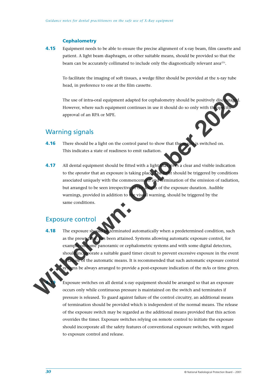#### **Cephalometry**

**4.15** Equipment needs to be able to ensure the precise alignment of x-ray beam, film cassette and patient. A light beam diaphragm, or other suitable means, should be provided so that the beam can be accurately collimated to include only the diagnostically relevant area<sup>(25)</sup>.

To facilitate the imaging of soft tissues, a wedge filter should be provided at the x-ray tube head, in preference to one at the film cassette.

The use of intra-oral equipment adapted for cephalometry should be positively disc However, where such equipment continues in use it should do so only with the  $s_p$ approval of an RPA or MPE.

#### Warning signals

- **4.16** There should be a light on the control panel to show that the mains is switched on. This indicates a state of readiness to emit radiation.
- **4.17** All dental equipment should be fitted with a light that gives a clear and visible indication to the *operator* that an exposure is taking place. The light should be triggered by conditions associated uniquely with the commencement and termination of the emission of radiation, but arranged to be seen irrespective of the length of the exposure duration. Audible warnings, provided in addition to the visual warning, should be triggered by the same conditions.

#### Exposure control

**4.18** The exposure should be terminated automatically when a predetermined condition, such as the preset time, has been attained. Systems allowing automatic exposure control, for example on some panoramic or cephalometric systems and with some digital detectors, should incorporate a suitable guard timer circuit to prevent excessive exposure in the event failure of the automatic means. It is recommended that such automatic exposure control ems be always arranged to provide a post-exposure indication of the mAs or time given.



**4.19** Exposure switches on all dental x-ray equipment should be arranged so that an exposure occurs only while continuous pressure is maintained on the switch and terminates if pressure is released. To guard against failure of the control circuitry, an additional means of termination should be provided which is independent of the normal means. The release of the exposure switch may be regarded as the additional means provided that this action overrides the timer. Exposure switches relying on remote control to initiate the exposure should incorporate all the safety features of conventional exposure switches, with regard to exposure control and release. The use of intra-oral equipment stapid for cephatonety should be positively discussed.<br> **30** National Radiological Protection Board – 2001 **With an algebra of the Board – 2001**<br> **3** A.16 The should be a light on the contro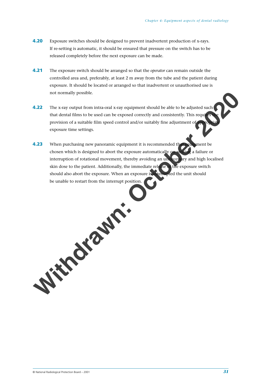- **4.20** Exposure switches should be designed to prevent inadvertent production of x-rays. If re-setting is automatic, it should be ensured that pressure on the switch has to be released completely before the next exposure can be made.
- **4.21** The exposure switch should be arranged so that the *operator* can remain outside the controlled area and, preferably, at least 2 m away from the tube and the patient during exposure. It should be located or arranged so that inadvertent or unauthorised use is not normally possible.
- **4.22** The x-ray output from intra-oral x-ray equipment should be able to be adjusted such that dental films to be used can be exposed correctly and consistently. This require provision of a suitable film speed control and/or suitably fine adjustment of exposure time settings.
- **4.23** When purchasing new panoramic equipment it is recommended that equipment be chosen which is designed to abort the exposure automatically on sensing a failure or interruption of rotational movement, thereby avoiding an unnecessary and high localised skin dose to the patient. Additionally, the immediate release of the exposure switch should also abort the exposure. When an exposure is interrupted the unit should be unable to restart from the interrupt position.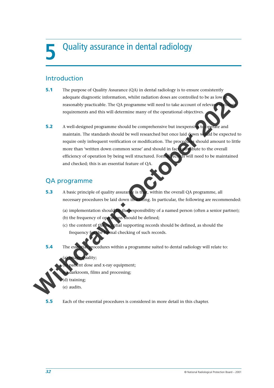## Quality assurance in dental radiology **5**

#### Introduction

- **5.1** The purpose of Quality Assurance (QA) in dental radiology is to ensure consistently adequate diagnostic information, whilst radiation doses are controlled to be as low reasonably practicable. The QA programme will need to take account of releva requirements and this will determine many of the operational objectives.
- **5.2** A well-designed programme should be comprehensive but inexpensive to operate and maintain. The standards should be well researched but once laid down would be expected to require only infrequent verification or modification. The procedures should amount to little more than 'written down common sense' and should in fact contribute to the overall efficiency of operation by being well structured. Formal records will need to be maintained and checked; this is an essential feature of QA. **32**<br> **32** Consider the secondary particular considered in the second relationship considered in the second responsable protection Board equation Board (200) A A well designed imaginary will determine many of the operation

#### QA programme

- **5.3** A basic principle of quality assurance is that, within the overall QA programme, all necessary procedures be laid down in writing. In particular, the following are recommended:
	- (a) implementation should be the responsibility of a named person (often a senior partner);
	- (b) the frequency of operations should be defined;
	- (c) the content of the essential supporting records should be defined, as should the frequency for the formal checking of such records.
- 
- **5.4** The essential procedures within a programme suited to dental radiology will relate to:
	- iality;
	- ent dose and x-ray equipment;
	- arkroom, films and processing;
	- (d) training;
	- (e) audits.
- **5.5** Each of the essential procedures is considered in more detail in this chapter.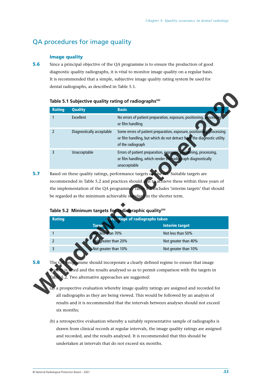## QA procedures for image quality

#### **Image quality**

**5.6** Since a principal objective of the QA programme is to ensure the production of good diagnostic quality radiographs, it is vital to monitor image quality on a regular basis. It is recommended that a simple, subjective image quality rating system be used for dental radiographs, as described in Table 5.1.

| <b>Rating</b>  | <b>Quality</b>                                       | <b>Basis</b>                                                                                                                                                         |
|----------------|------------------------------------------------------|----------------------------------------------------------------------------------------------------------------------------------------------------------------------|
| $\mathbf{1}$   | <b>Excellent</b>                                     | No errors of patient preparation, exposure, positioning, processing<br>or film handling                                                                              |
| $\overline{2}$ | Diagnostically acceptable                            | Some errors of patient preparation, exposure, positioning, processing<br>or film handling, but which do not detract from the diagnostic utility<br>of the radiograph |
| 3              | Unacceptable                                         | Errors of patient preparation, exposure, positioning, processing,<br>or film handling, which render the radiograph diagnostically<br>unacceptable                    |
|                |                                                      | Based on these quality ratings, performance targets can be set. Suitable targets are                                                                                 |
|                |                                                      | recommended in Table 5.2 and practices should at m to achieve these within three years of                                                                            |
|                |                                                      | the implementation of the QA programme <b>Table 5.2</b> includes 'interim targets' that should                                                                       |
|                |                                                      | be regarded as the minimum achievable standard in the shorter term.                                                                                                  |
|                |                                                      |                                                                                                                                                                      |
|                |                                                      | Table 5.2 Minimum targets for radiographic quality <sup>(26)</sup>                                                                                                   |
| <b>Rating</b>  |                                                      | <b>The stage of radiographs taken</b>                                                                                                                                |
|                | <b>Target</b>                                        | <b>Interim target</b>                                                                                                                                                |
| 1              | lot less than 70%                                    | Not less than 50%                                                                                                                                                    |
| 2              | <b>Jot</b> greater than 20%                          | Not greater than 40%                                                                                                                                                 |
| 3              | Not greater than 10%                                 | Not greater than 10%                                                                                                                                                 |
|                |                                                      |                                                                                                                                                                      |
|                |                                                      |                                                                                                                                                                      |
|                |                                                      | The QA programme should incorporate a clearly defined regime to ensure that image                                                                                    |
|                |                                                      | Quality is rated and the results analysed so as to permit comparison with the targets in                                                                             |
|                | Table 5.2. Two alternative approaches are suggested: |                                                                                                                                                                      |
|                |                                                      | (a) a prospective evaluation whereby image quality ratings are assigned and recorded for                                                                             |
|                |                                                      | all radiographs as they are being viewed. This would be followed by an analysis of                                                                                   |
|                |                                                      | results and it is recommended that the intervals between analyses should not exceed                                                                                  |
|                | six months;                                          |                                                                                                                                                                      |
|                |                                                      |                                                                                                                                                                      |
|                |                                                      | (b) a retrospective evaluation whereby a suitably representative sample of radiographs is                                                                            |
|                |                                                      | drawn from clinical records at regular intervals, the image quality ratings are assigned                                                                             |
|                |                                                      | and recorded, and the results analysed. It is recommended that this should be                                                                                        |
|                |                                                      | undertaken at intervals that do not exceed six months.                                                                                                               |

#### **Table 5.2 Minimum targets for radiographic quality(26)**

| <b>Rating</b> | <b>The stage of radiographs taken</b> |                       |  |
|---------------|---------------------------------------|-----------------------|--|
|               | Targe                                 | <b>Interim target</b> |  |
|               | Ness than 70%                         | Not less than 50%     |  |
|               | ot greater than 20%                   | Not greater than 40%  |  |
|               | Not greater than 10%                  | Not greater than 10%  |  |

- a prospective evaluation whereby image quality ratings are assigned and recorded for all radiographs as they are being viewed. This would be followed by an analysis of results and it is recommended that the intervals between analyses should not exceed six months;
- (b) a retrospective evaluation whereby a suitably representative sample of radiographs is drawn from clinical records at regular intervals, the image quality ratings are assigned and recorded, and the results analysed. It is recommended that this should be undertaken at intervals that do not exceed six months.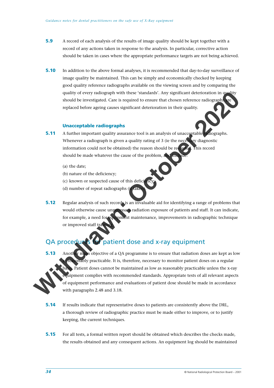- **5.9** A record of each analysis of the results of image quality should be kept together with a record of any actions taken in response to the analysis. In particular, corrective action should be taken in cases where the appropriate performance targets are not being achieved.
- **5.10** In addition to the above formal analyses, it is recommended that day-to-day surveillance of image quality be maintained. This can be simply and economically checked by keeping good quality reference radiographs available on the viewing screen and by comparing the quality of every radiograph with these 'standards'. Any significant deterioration in qu should be investigated. Care is required to ensure that chosen reference radiographs replaced before ageing causes significant deterioration in their quality.

#### **Unacceptable radiographs**

- **5.11** A further important quality assurance tool is an analysis of unacceptable radiographs. Whenever a radiograph is given a quality rating of 3 (ie the necessary diagnostic information could not be obtained) the reason should be recorded. This record should be made whatever the cause of the problem,  $\mathbf{a}$ 
	- (a) the date;
	- (b) nature of the deficiency;
	- $(c)$  known or suspected cause of this defici
	- (d) number of repeat radiographs ( $\mathbf{i}$
- **5.12** Regular analysis of such records is an invaluable aid for identifying a range of problems that would otherwise cause unnecessary radiation exposure of patients and staff. It can indicate, for example, a need for equipment maintenance, improvements in radiographic technique or improved staff trai

## QA procedures for patient dose and x-ray equipment

- **5.13** Another main objective of a QA programme is to ensure that radiation doses are kept as low **abonably** practicable. It is, therefore, necessary to monitor patient doses on a regular basis. Patient doses cannot be maintained as low as reasonably practicable unless the x-ray equipment complies with recommended standards. Appropriate tests of all relevant aspects of equipment performance and evaluations of patient dose should be made in accordance with paragraphs 2.48 and 3.18. **34** Controller and the reaction of the standards Any guiding methods in a standard distribution of the standard Any and the standard Controller and the standard Controller and the standard Controller and the standard Co
	- **5.14** If results indicate that representative doses to patients are consistently above the DRL, a thorough review of radiographic practice must be made either to improve, or to justify keeping, the current techniques.
	- **5.15** For all tests, a formal written report should be obtained which describes the checks made, the results obtained and any consequent actions. An equipment log should be maintained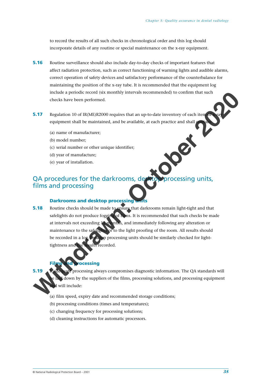to record the results of all such checks in chronological order and this log should incorporate details of any routine or special maintenance on the x-ray equipment.

- **5.16** Routine surveillance should also include day-to-day checks of important features that affect radiation protection, such as correct functioning of warning lights and audible alarms, correct operation of safety devices and satisfactory performance of the counterbalance for maintaining the position of the x-ray tube. It is recommended that the equipment log include a periodic record (six monthly intervals recommended) to confirm that such checks have been performed.
- **5.17** Regulation 10 of IR(ME)R2000 requires that an up-to-date inventory of each item equipment shall be maintained, and be available, at each practice and shall  $\mu$ 
	- (a) name of manufacturer;
	- (b) model number;
	- (c) serial number or other unique identifier;
	- (d) year of manufacture;
	- (e) year of installation.

#### QA procedures for the darkrooms, desktop processing units, films and processing

#### **Darkrooms and desktop processing**

**5.18** Routine checks should be made to ensure that darkrooms remain light-tight and that safelights do not produce fogging of films. It is recommended that such checks be made at intervals not exceeding 12 months, and immediately following any alteration or maintenance to the safelights or to the light proofing of the room. All results should be recorded in a log. Desktop processing units should be similarly checked for lighttightness and the results recorded. model are the experimental disconfigurate interaction and the state of the content of the state of the state of the state of the state of the state of the state of the state of the state of the state of the state of the st

#### **Processing**

**5.19 Inadequate** processing always compromises diagnostic information. The QA standards will **d** down by the suppliers of the films, processing solutions, and processing equipment d will include:

- (a) film speed, expiry date and recommended storage conditions;
- (b) processing conditions (times and temperatures);
- (c) changing frequency for processing solutions;
- (d) cleaning instructions for automatic processors.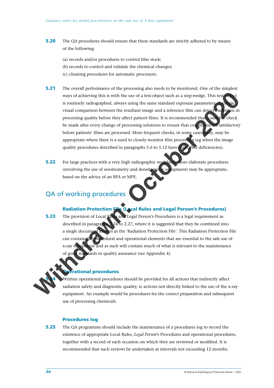- **5.20** The QA procedures should ensure that these standards are strictly adhered to by means of the following:
	- (a) records and/or procedures to control film stock;
	- (b) records to control and validate the chemical changes;
	- (c) cleaning procedures for automatic processors.
- **5.21** The overall performance of the processing also needs to be monitored. One of the simplest ways of achieving this is with the use of a test-object such as a step-wedge. This test-object is routinely radiographed, always using the same standard exposure parameters visual comparison between the resultant image and a reference film can detect variations in processing quality before they affect patient films. It is recommended that a suitable check be made after every change of processing solutions to ensure that con ditions are satisfactory before patients' films are processed. More frequent checks, in some cases daily, may be appropriate where there is a need to closely monitor film processing (eg when the image quality procedures described in paragraphs 5.6 to 5.12 have  $\sqrt{q}$  deficiencies). **36** Statistrang this is with the use of a test-object such as a step-weeke. That is more than the mass in the transition experimented by realized to promotion properties about the protection Board – 2001 **With the mass c** 
	- **5.22** For large practices with a very high radiographic workload, more elaborate procedures (involving the use of sensitometry and densitometry equipment) may be appropriate, based on the advice of an RPA or MPE.

## QA of working procedures

#### **Radiation Protection File (Local Rules and Legal Person's Procedures)**

**5.23** The provision of Local Rules and Legal Person's Procedures is a legal requirement as described in paragraphs 2.24 to 2.27, where it is suggested that they be combined into a single document known as the 'Radiation Protection File'. This Radiation Protection File can contain the procedural and operational elements that are essential to the safe use of x-ray equipment and as such will contain much of what is relevant to the maintenance of good standards in quality assurance (see Appendix 4).

#### **Prational procedures**

**5.24** Written operational procedures should be provided for all actions that indirectly affect radiation safety and diagnostic quality, ie actions not directly linked to the use of the x-ray equipment. An example would be procedures for the correct preparation and subsequent use of processing chemicals.

#### **Procedures log**

**5.25** The QA programme should include the maintenance of a procedures log to record the existence of appropriate Local Rules, *Legal Person*'s Procedures and operational procedures, together with a record of each occasion on which they are reviewed or modified. It is recommended that such reviews be undertaken at intervals not exceeding 12 months.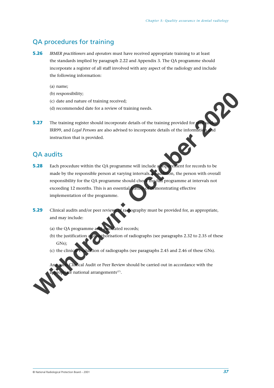#### QA procedures for training

- **5.26** *IRMER practitioners* and *operators* must have received appropriate training to at least the standards implied by paragraph 2.22 and Appendix 3. The QA programme should incorporate a register of all staff involved with any aspect of the radiology and include the following information:
	- (a) name;
	- (b) responsibility;
	- (c) date and nature of training received;
	- (d) recommended date for a review of training needs.
- **5.27** The training register should incorporate details of the training provided for sta IRR99, and *Legal Persons* are also advised to incorporate details of the information instruction that is provided.

#### QA audits

- **5.28** Each procedure within the QA programme will include a requirement for records to be made by the responsible person at varying intervals. In addition, the person with overall responsibility for the QA programme should check the full programme at intervals not exceeding 12 months. This is an essential feature of demonstrating effective implementation of the programme. (b) responsible<br>
(c) that and radion of the species of training receives);<br>
(c) recommended date for a series of training receives<br>
(c) recommended date for a series of training receives<br>
(e)  $\pi$  contracted to that provi
- **5.29** Clinical audits and/or peer reviews of radiography must be provided for, as appropriate, and may include:
	- (a) the QA programme and associated records;
	- (b) the justification and authorisation of radiographs (see paragraphs 2.32 to 2.35 of these GNs);
	- (c) the clinical evaluation of radiographs (see paragraphs 2.45 and 2.46 of these GNs).

Acal Audit or Peer Review should be carried out in accordance with the  $\lambda$ te national arrangements<sup>(27)</sup>.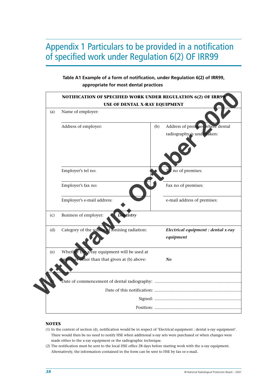## Appendix 1 Particulars to be provided in a notification of specified work under Regulation 6(2) OF IRR99

#### **Table A1 Example of a form of notification, under Regulation 6(2) of IRR99, appropriate for most dental practices**

| (a)          | <b>USE OF DENTAL X-RAY EQUIPMENT</b><br>Name of employer:                                                                                                                                                                                                                                                                                                                                                                    |     |                                                                |
|--------------|------------------------------------------------------------------------------------------------------------------------------------------------------------------------------------------------------------------------------------------------------------------------------------------------------------------------------------------------------------------------------------------------------------------------------|-----|----------------------------------------------------------------|
|              |                                                                                                                                                                                                                                                                                                                                                                                                                              |     |                                                                |
|              | Address of employer:                                                                                                                                                                                                                                                                                                                                                                                                         | (b) | Address of premises where dental<br>radiography is undertaken: |
|              | Employer's tel no:                                                                                                                                                                                                                                                                                                                                                                                                           |     | no of premises:                                                |
|              | Employer's fax no:                                                                                                                                                                                                                                                                                                                                                                                                           |     | Fax no of premises:                                            |
|              | Employer's e-mail address:                                                                                                                                                                                                                                                                                                                                                                                                   |     | e-mail address of premises:                                    |
| (c)          | Business of employer:<br>Dentistry                                                                                                                                                                                                                                                                                                                                                                                           |     |                                                                |
| (d)          | Category of the source of ionising radiation:                                                                                                                                                                                                                                                                                                                                                                                |     | Electrical equipment : dental x-ray<br>equipment               |
| (e)          | Whether the x-ray equipment will be used at<br>remises other than that given at (b) above:                                                                                                                                                                                                                                                                                                                                   |     | No                                                             |
|              |                                                                                                                                                                                                                                                                                                                                                                                                                              |     |                                                                |
|              |                                                                                                                                                                                                                                                                                                                                                                                                                              |     |                                                                |
|              |                                                                                                                                                                                                                                                                                                                                                                                                                              |     |                                                                |
|              |                                                                                                                                                                                                                                                                                                                                                                                                                              |     |                                                                |
| <b>NOTES</b> | (1) In the context of section (d), notification would be in respect of 'Electrical equipment : dental x-ray equipment'.<br>There would then be no need to notify HSE when additional x-ray sets were purchased or when changes were<br>made either to the x-ray equipment or the radiographic technique.<br>(2) The notification must be sent to the local HSE office 28 days before starting work with the x-ray equipment. |     |                                                                |
|              | Alternatively, the information contained in the form can be sent to HSE by fax or e-mail.                                                                                                                                                                                                                                                                                                                                    |     |                                                                |

#### **NOTES**

- (1) In the context of section (d), notification would be in respect of 'Electrical equipment : dental x-ray equipment'. There would then be no need to notify HSE when additional x-ray sets were purchased or when changes were made either to the x-ray equipment or the radiographic technique.
- (2) The notification must be sent to the local HSE office 28 days before starting work with the x-ray equipment. Alternatively, the information contained in the form can be sent to HSE by fax or e-mail.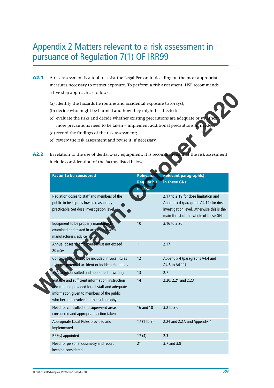## Appendix 2 Matters relevant to a risk assessment in pursuance of Regulation 7(1) OF IRR99

- **A2.1** A risk assessment is a tool to assist the Legal Person in deciding on the most appropriate measures necessary to restrict exposure. To perform a risk assessment, HSE recommends a five step approach as follows:
	- (a) identify the hazards (ie routine and accidental exposure to x-rays);
	- (b) decide who might be harmed and how they might be affected;
	- (c) evaluate the risks and decide whether existing precautions are adequate or whether more precautions need to be taken – implement additional precautions, if needed,
	- (d) record the findings of the risk assessment;
	- (e) review the risk assessment and revise it, if necessary.
- **A2.2** In relation to the use of dental x-ray equipment, it is recommended that the risk assessment include consideration of the factors listed below.

| (c) evaluate the risks and decide whether existing precautions are adequate or whether<br>more precautions need to be taken - implement additional precautions, if needed<br>(d) record the findings of the risk assessment; |                                    |                                                                                                                                                                      |
|------------------------------------------------------------------------------------------------------------------------------------------------------------------------------------------------------------------------------|------------------------------------|----------------------------------------------------------------------------------------------------------------------------------------------------------------------|
| (e) review the risk assessment and revise it, if necessary.                                                                                                                                                                  |                                    |                                                                                                                                                                      |
| In relation to the use of dental x-ray equipment, it is recompended<br>include consideration of the factors listed below.                                                                                                    |                                    | that the risk assessment                                                                                                                                             |
| <b>Factor to be considered</b>                                                                                                                                                                                               | Relevanc                           | <b>Relevant paragraph(s)</b>                                                                                                                                         |
|                                                                                                                                                                                                                              | <b>Regulation</b><br><b>In Reg</b> | in these GNs                                                                                                                                                         |
| Radiation doses to staff and members of the<br>public to be kept as low as reasonably<br>practicable. Set dose investigation level                                                                                           | $\overline{8}$                     | 2.17 to 2.19 for dose limitation and<br>Appendix 4 (paragraph A4.12) for dose<br>investigation level. Otherwise this is the<br>main thrust of the whole of these GNs |
| Equipment to be properly maintained<br>examined and tested in accordance with<br>manufacturer's advice                                                                                                                       | 10                                 | 3.16 to 3.20                                                                                                                                                         |
| Annual doses to employees must not exceed<br>20 mSv                                                                                                                                                                          | 11                                 | 2.17                                                                                                                                                                 |
| Contingency plans to be included in Local Rules<br>to cover potential accident or incident situations                                                                                                                        | 12                                 | Appendix 4 (paragraphs A4.4 and<br>A4.8 to A4.11)                                                                                                                    |
| TPA to be consulted and appointed in writing                                                                                                                                                                                 | 13                                 | 2.7                                                                                                                                                                  |
| Suitable and sufficient information, instruction<br>and training provided for all staff and adequate<br>information given to members of the public<br>who become involved in the radiography                                 | 14                                 | 2.20, 2.21 and 2.23                                                                                                                                                  |
| Need for controlled and supervised areas<br>considered and appropriate action taken                                                                                                                                          | 16 and 18                          | 3.2 to 3.6                                                                                                                                                           |
| Appropriate Local Rules provided and<br>implemented                                                                                                                                                                          | 17 (1 to 3)                        | 2.24 and 2.27, and Appendix 4                                                                                                                                        |
| RPS(s) appointed                                                                                                                                                                                                             | 17(4)                              | 2.3                                                                                                                                                                  |
| Need for personal dosimetry and record<br>keeping considered                                                                                                                                                                 | 21                                 | 3.7 and 3.8                                                                                                                                                          |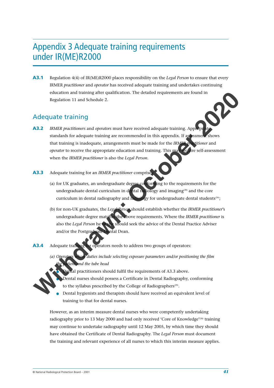## Appendix 3 Adequate training requirements under IR(ME)R2000

**A3.1** Regulation 4(4) of IR(ME)R2000 places responsibility on the *Legal Person* to ensure that every IRMER *practitioner* and *operator* has received adequate training and undertakes continuing education and training after qualification. The detailed requirements are found in Regulation 11 and Schedule 2.

#### Adequate training

- **A3.2** *IRMER practitioners* and *operators* must have received adequate training. Approximately standards for adequate training are recommended in this appendix. If as essment shows that training is inadequate, arrangements must be made for the *IRMER practitioner* and *operator* to receive the appropriate education and training. This may require self-assessment when the *IRMER practitioner* is also the *Legal Person*. eleastion and latating airce qualification. The detailed equivaments are found in<br>Registrate training in a Streetwise and operator must have received adequate training. Applies<br>Samilards in radius change in a specific con
- **A3.3** Adequate training for an *IRMER practitioner* comprises:
	- (a) for UK graduates, an undergraduate degree conforming to the requirements for the undergraduate dental curriculum in dental radiology and imaging<sup>(28)</sup> and the core curriculum in dental radiography and radiology for undergraduate dental students<sup>(26)</sup>;
	- (b) for non-UK graduates, the *Legal Person* should establish whether the *IRMER practitioner*'s undergraduate degree matches the above requirements. Where the *IRMER practitioner* is also the *Legal Person* he or she should seek the advice of the Dental Practice Adviser and/or the Postgraduate Dental Dean.
- **A3.4** Adequate training for operators needs to address two groups of operators:
	- *(a) Operators whose duties include selecting exposure parameters and/or positioning the film the patient and the tube head*
- 
- al practitioners should fulfil the requirements of A3.3 above. Dental nurses should possess a Certificate in Dental Radiography, conforming
	- to the syllabus prescribed by the College of Radiographers<sup>(29)</sup>.
	- Dental hygienists and therapists should have received an equivalent level of training to that for dental nurses.

However, as an interim measure dental nurses who were competently undertaking radiography prior to 13 May 2000 and had only received 'Core of Knowledge'<sup>(30)</sup> training may continue to undertake radiography until 12 May 2005, by which time they should have obtained the Certificate of Dental Radiography. The *Legal Person* must document the training and relevant experience of all nurses to which this interim measure applies.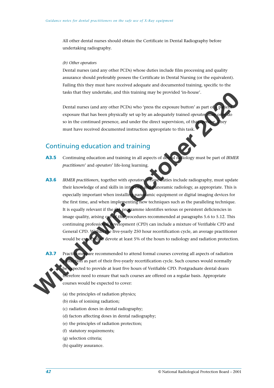All other dental nurses should obtain the Certificate in Dental Radiography before undertaking radiography.

#### *(b) Other operators*

Dental nurses (and any other PCDs) whose duties include film processing and quality assurance should preferably possess the Certificate in Dental Nursing (or the equivalent). Failing this they must have received adequate and documented training, specific to the tasks that they undertake, and this training may be provided 'in-house'.

Dental nurses (and any other PCDs) who 'press the exposure button' as part of exposure that has been physically set up by an adequately trained *operator*, m so in the continued presence, and under the direct supervision, of that must have received documented instruction appropriate to this task.

#### Continuing education and training

- **A3.5** Continuing education and training in all aspects of dental radiology must be part of *IRMER practitioners*' and *operators*' life-long learning.
- **A3.6** *IRMER practitioners*, together with *operators*, whose duties include radiography, must update their knowledge of and skills in intra-oral and panoramic radiology, as appropriate. This is especially important when installing panoramic equipment or digital imaging devices for the first time, and when implementing new techniques such as the paralleling technique. It is equally relevant if the  $\Omega$ A programme identifies serious or persistent deficiencies in image quality, arising out of the procedures recommended at paragraphs 5.6 to 5.12. This continuing professional development (CPD) can include a mixture of Verifiable CPD and General CPD. Within the five-yearly 250 hour recertification cycle, an average practitioner would be expected to devote at least 5% of the hours to radiology and radiation protection. Final Rating times (and this training may be provided 'fur-board'.<br>
Dental Ration Cast any other PCDs the protection Board and September 10.1 the continued presence, and under the ducet supervalue, or the particle of the
	- **A3.7** Practitioners are recommended to attend formal courses covering all aspects of radiation protection as part of their five-yearly recertification cycle. Such courses would normally spected to provide at least five hours of Verifiable CPD. Postgraduate dental deans therefore need to ensure that such courses are offered on a regular basis. Appropriate courses would be expected to cover:
		- (a) the principles of radiation physics;
		- (b) risks of ionising radiation;
		- (c) radiation doses in dental radiography;
		- (d) factors affecting doses in dental radiography;
		- (e) the principles of radiation protection;
		- (f) statutory requirements;
		- (g) selection criteria;
		- (h) quality assurance.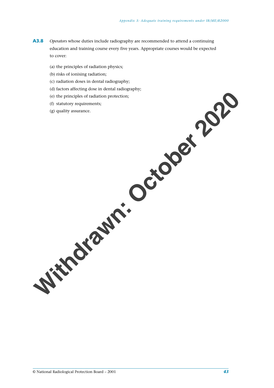- **A3.8** *Operators* whose duties include radiography are recommended to attend a continuing education and training course every five years. Appropriate courses would be expected to cover:
	- (a) the principles of radiation physics;
	- (b) risks of ionising radiation;
	- (c) radiation doses in dental radiography;
	- (d) factors affecting dose in dental radiography;
- (e) the principles of radiation protection; With Marie Contents of Column Protection Board 2020
	- (f) statutory requirements;
	- (g) quality assurance.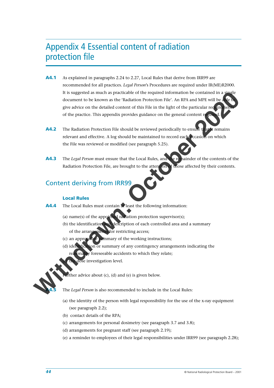## Appendix 4 Essential content of radiation protection file

- **A4.1** As explained in paragraphs 2.24 to 2.27, Local Rules that derive from IRR99 are recommended for all practices. *Legal Person*'s Procedures are required under IR(ME)R2000. It is suggested as much as practicable of the required information be contained in a single document to be known as the 'Radiation Protection File'. An RPA and MPE will be at give advice on the detailed content of this File in the light of the particular require of the practice. This appendix provides guidance on the general content re *A* Example of the example and the equilibrius of the example in the equilibrius of the equilibrius of the particle of the particle of the particle of the particle of the particle of the particle protection Bock and Conte
	- **A4.2** The Radiation Protection File should be reviewed periodically to ensure that it remains relevant and effective. A log should be maintained to record each occasion on which the File was reviewed or modified (see paragraph 5.25).
	- **A4.3** The *Legal Person* must ensure that the Local Rules, and the remainder of the contents of the Radiation Protection File, are brought to the attention of those affected by their contents.

#### Content deriving from IRR99

#### **Local Rules**

**A4.4** The Local Rules must contain at least the following information:

- (a) name(s) of the appointed radiation protection supervisor(s);
- (b) the identification and description of each controlled area and a summary of the arrangements for restricting access;
- (c) an appropriate summary of the working instructions;
- (d) identification or summary of any contingency arrangements indicating the reasonably foreseeable accidents to which they relate;
	- dose investigation level.



 $f$ ther advice about (c), (d) and (e) is given below.

**A4.5** The *Legal Person* is also recommended to include in the Local Rules:

- (a) the identity of the person with legal responsibility for the use of the x-ray equipment (see paragraph 2.2);
- (b) contact details of the RPA;
- (c) arrangements for personal dosimetry (see paragraph 3.7 and 3.8);
- (d) arrangements for pregnant staff (see paragraph 2.19);
- (e) a reminder to employees of their legal responsibilities under IRR99 (see paragraph 2.28);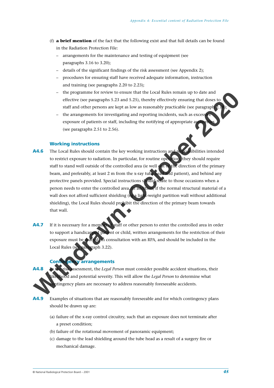- (f) **a brief mention** of the fact that the following exist and that full details can be found in the Radiation Protection File:
	- arrangements for the maintenance and testing of equipment (see paragraphs 3.16 to 3.20);
	- details of the significant findings of the risk assessment (see Appendix 2);
	- procedures for ensuring staff have received adequate information, instruction and training (see paragraphs 2.20 to 2.23);
	- the programme for review to ensure that the Local Rules remain up to date and effective (see paragraphs 5.23 and 5.25), thereby effectively ensuring that doses to staff and other persons are kept as low as reasonably practicable (see paragraph
	- the arrangements for investigating and reporting incidents, such as excessive exposure of patients or staff, including the notifying of appropriate ap (see paragraphs 2.51 to 2.56).

#### **Working instructions**

- **A4.6** The Local Rules should contain the key working instructions and responsibilities intended to restrict exposure to radiation. In particular, for routine operation, they should require staff to stand well outside of the controlled area (ie well out of the direction of the primary beam, and preferably, at least 2 m from the x-ray tube head and patient), and behind any protective panels provided. Special instructions should relate to those occasions when a person needs to enter the controlled area. In addition, if the normal structural material of a wall does not afford sufficient shielding (eg a light-weight partition wall without additional shielding), the Local Rules should prohibit the direction of the primary beam towards that wall. • the programma of rocker to counter the Local Radio creation and the content of the content of the content of the state of the state of the state of the state of the state of the state of the state of the state of the s
- **A4.7** If it is necessary for a member of staff or other person to enter the controlled area in order to support a handicapped patient or child, written arrangements for the restriction of their exposure must be **drafted**, in consultation with an RPA, and should be included in the Local Rules (see paragraph 3.22).

#### **Contingency arrangements**

- **A4.8 In the risk assessment, the** *Legal Person* **must consider possible accident situations, their** likelihood and potential severity. This will allow the *Legal Person* to determine what atingency plans are necessary to address reasonably foreseeable accidents.
- **A4.9** Examples of situations that are reasonably foreseeable and for which contingency plans should be drawn up are:
	- (a) failure of the x-ray control circuitry, such that an exposure does not terminate after a preset condition;
	- (b) failure of the rotational movement of panoramic equipment;
	- (c) damage to the lead shielding around the tube head as a result of a surgery fire or mechanical damage.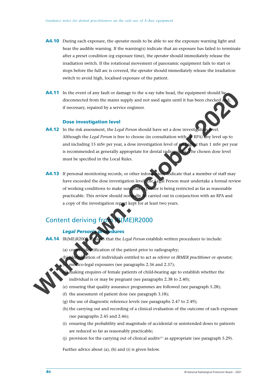- **A4.10** During each exposure, the *operator* needs to be able to see the exposure warning light and hear the audible warning. If the warning(s) indicate that an exposure has failed to terminate after a preset condition (eg exposure time), the *operator* should immediately release the irradiation switch. If the rotational movement of panoramic equipment fails to start or stops before the full arc is covered, the *operator* should immediately release the irradiation switch to avoid high, localised exposure of the patient.
- **A4.11** In the event of any fault or damage to the x-ray tube head, the equipment should be disconnected from the mains supply and not used again until it has been checked a if necessary, repaired by a service engineer.

#### **Dose investigation level**

- **A4.12** In the risk assessment, the *Legal Person* should have set a dose investigation Although the *Legal Person* is free to choose (in consultation with an RPA) any level up to and including 15 mSv per year, a dose investigation level of  $p \circ h$  higher than 1 mSv per year is recommended as generally appropriate for dental radiography. The chosen dose level must be specified in the Local Rules.
- **A4.13** If personal monitoring records, or other information, indicate that a member of staff may have exceeded the dose investigation level, the Legal Person must undertake a formal review of working conditions to make sure that exposure is being restricted as far as reasonable practicable. This review should normally be carried out in conjunction with an RPA and a copy of the investigation report kept for at least two years. **A4.11** In the several day faith of diamptatic state and the couples that the selection Board – 2001  $\mu$  and  $\mu$  and  $\mu$  and  $\mu$  and  $\mu$  and  $\mu$  and  $\mu$  and  $\mu$  and  $\mu$  and  $\mu$  and  $\mu$  and  $\mu$  and  $\mu$  and  $\mu$

## Content deriving from IR(ME)R2000

#### **Legal Person**

- **A4.14** IR(ME)R2000 requires that the *Legal Person* establish written procedures to include:
	- (a) correct identification of the patient prior to radiography;
	- (b) identification of individuals entitled to act as *referrer* or *IRMER practitioner* or *operator*; medico-legal exposures (see paragraphs 2.36 and 2.37);
	- making enquires of female patients of child-bearing age to establish whether the individual is or may be pregnant (see paragraphs 2.38 to 2.40);
	- (e) ensuring that quality assurance programmes are followed (see paragraph 5.28);
	- (f) the assessment of patient dose (see paragraph 3.18);
	- (g) the use of diagnostic reference levels (see paragraphs 2.47 to 2.49);
	- (h) the carrying out and recording of a clinical evaluation of the outcome of each exposure (see paragraphs 2.45 and 2.46);
	- (i) ensuring the probability and magnitude of accidental or unintended doses to patients are reduced so far as reasonably practicable;
	- (j) provision for the carrying out of clinical audits<sup>(27)</sup> as appropriate (see paragraph 5.29).

Further advice about (a), (b) and (i) is given below.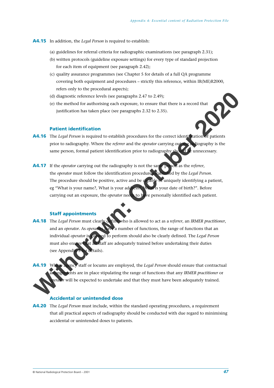- **A4.15** In addition, the *Legal Person* is required to establish:
	- (a) guidelines for referral criteria for radiographic examinations (see paragraph 2.31);
	- (b) written protocols (guideline exposure settings) for every type of standard projection for each item of equipment (see paragraph 2.42);
	- (c) quality assurance programmes (see Chapter 5 for details of a full QA programme covering both equipment and procedures – strictly this reference, within IR(ME)R2000, refers only to the procedural aspects);
	- (d) diagnostic reference levels (see paragraphs 2.47 to 2.49);
	- (e) the method for authorising each exposure, to ensure that there is a record that justification has taken place (see paragraphs 2.32 to 2.35).

#### **Patient identification**

- **A4.16** The *Legal Person* is required to establish procedures for the correct identification of patients prior to radiography. Where the *referrer* and the *operator* carrying out the radiography is the same person, formal patient identification prior to radiography should be unnecessary.
- **A4.17** If the *operator* carrying out the radiography is not the same person as the *referrer*, the *operator* must follow the identification procedure established by the *Legal Person*. The procedure should be positive, active and be capable of uniquely identifying a patient, eg "What is your name?, What is your address?, What is your date of birth?". Before carrying out an exposure, the *operator* needs to have personally identified each patient.

#### **Staff appointments**

- **A4.18** The *Legal Person* must clearly define who is allowed to act as a *referrer*, an *IRMER practitioner*, and an *operator*. As *operators* have a number of functions, the range of functions that an individual *operator* is allowed to perform should also be clearly defined. The *Legal Person* must also ensure that all staff are adequately trained before undertaking their duties (see Appendix 3 for details). (d) diagnosis reference levels (see panagraphs 2.47 to 2.49);<br>
(e) the method for satisfying peak to a geological Protection Board Hat<br>
(a) interdiction and the satisfying with example in a state is a second that  $\theta$  and
- **A** staff or locums are employed, the *Legal Person* should ensure that contractual rents are in place stipulating the range of functions that any *IRMER practitioner* or *or* will be expected to undertake and that they must have been adequately trained.

#### **Accidental or unintended dose**

**A4.20** The *Legal Person* must include, within the standard operating procedures, a requirement that all practical aspects of radiography should be conducted with due regard to minimising accidental or unintended doses to patients.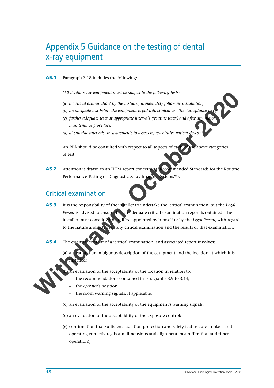## Appendix 5 Guidance on the testing of dental x-ray equipment

#### **A5.1** Paragraph 3.18 includes the following:

*'All dental x-ray equipment must be subject to the following tests:*

- *(a) a 'critical examination' by the installer, immediately following installation;*
- *(b) an adequate test before the equipment is put into clinical use (the 'acceptance*
- *(c) further adequate tests at appropriate intervals ('routine tests') and after any maintenance procedure;*
- *(d) at suitable intervals, measurements to assess representative patient doses.'*

An RPA should be consulted with respect to all aspects of each of the above categories of test.

**A5.2** Attention is drawn to an IPEM report concerning (Recommended Standards for the Routine Performance Testing of Diagnostic X-ray Imaging Systems<sup>'(31)</sup>.

#### Critical examination



- **A5.4** The essential content of a 'critical examination' and associated report involves:
	- (a) a clear and unambiguous description of the equipment and the location at which it is installed;



- evaluation of the acceptability of the location in relation to:
	- the recommendations contained in paragraphs 3.9 to 3.14;
- the *operator*'s position;
- the room warning signals, if applicable;
- (c) an evaluation of the acceptability of the equipment's warning signals;
- (d) an evaluation of the acceptability of the exposure control;
- (e) confirmation that sufficient radiation protection and safety features are in place and operating correctly (eg beam dimensions and alignment, beam filtration and timer operation);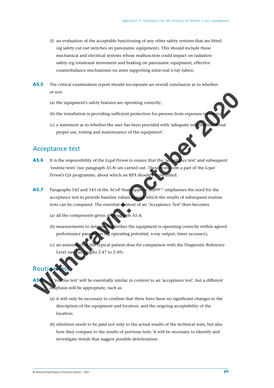- (f) an evaluation of the acceptable functioning of any other safety systems that are fitted (eg safety cut out switches on panoramic equipment). This should include those mechanical and electrical systems whose malfunction could impact on radiation safety (eg rotational movement and braking on panoramic equipment, effective counterbalance mechanisms on arms supporting intra-oral x-ray tubes).
- **A5.5** The critical examination report should incorporate an overall conclusion as to whether or not:
	- (a) the equipment's safety features are operating correctly;
	- (b) the installation is providing sufficient protection for persons from exposure  $t$
	- (c) a statement as to whether the user has been provided with 'adequate info $\mathbf{\hat{m}}_1$  ion proper use, testing and maintenance of the equipment'.

#### Acceptance test

- **A5.6** It is the responsibility of the *Legal Person* to ensure that the 'acceptance test' and subsequent 'routine tests' (see paragraph A5.8) are carried out. These tests form a part of the *Legal Person*'s QA programme, about which an RPA should be consulted.
- **A5.7** Paragraphs 542 and 543 of the ACoP that supports IRR99<sup>(11)</sup> emphasises the need for the acceptance test to provide baseline values against which the results of subsequent routine tests can be compared. The essential **content of an 'Acceptance Test'** then becomes: (a) the equipment's sately features are operating correctly;<br>
(b) the intrallation is providing sufficient frotection for periods from exposure (c) a statement is to whether the use has been provided with "alequate inte
	- (a) all the components given at paragraph A5.4;
	- (b) measurements to determine whether the equipment is operating correctly within agreed performance parameters (eg operating potential, x-ray output, timer accuracy);
	- (c) an assessment of the typical patient dose for comparison with the Diagnostic Reference raphs  $2.47$  to  $2.49$ ).

#### Routin

- **A** tine test' will be essentially similar in content to an 'acceptance test', but a different emphasis will be appropriate, such as:
	- (a) it will only be necessary to confirm that there have been no significant changes to the description of the equipment and location, and the ongoing acceptability of the location;
	- (b) attention needs to be paid not only to the actual results of the technical tests, but also how they compare to the results of previous tests. It will be necessary to identify and investigate trends that suggest possible deterioration.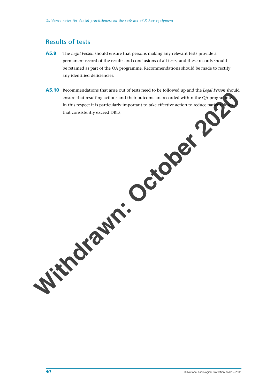## Results of tests

- **A5.9** The *Legal Person* should ensure that persons making any relevant tests provide a permanent record of the results and conclusions of all tests, and these records should be retained as part of the QA programme. Recommendations should be made to rectify any identified deficiencies.
- **A5.10** Recommendations that arise out of tests need to be followed up and the *Legal Person* should ensure that resulting actions and their outcome are recorded within the QA programme. In this respect it is particularly important to take effective action to reduce patient doses that consistently exceed DRLs. **Solution Board 2010**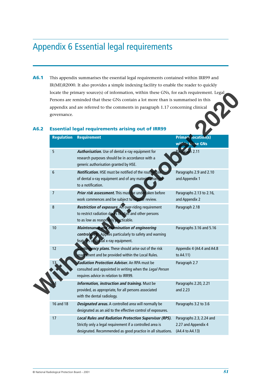## Appendix 6 Essential legal requirements

**A6.1** This appendix summarises the essential legal requirements contained within IRR99 and IR(ME)R2000. It also provides a simple indexing facility to enable the reader to quickly locate the primary source(s) of information, within these GNs, for each requirement. Legal Persons are reminded that these GNs contain a lot more than is summarised in this appendix and are referred to the comments in paragraph 1.17 concerning clinical<br>governance.<br>Essential legal requirements arising out of IRR99 governance.

#### **A6.2 Essential legal requirements arising out of IRR99**

|                   | <b>Essential legal requirements arising out of IRR99</b>                                                                                                                                  |                                                                    |
|-------------------|-------------------------------------------------------------------------------------------------------------------------------------------------------------------------------------------|--------------------------------------------------------------------|
| <b>Regulation</b> | <b>Requirement</b>                                                                                                                                                                        | <b>Primary (ocation(s)</b><br>within these GNs                     |
| 5                 | Authorisation. Use of dental x-ray equipment for<br>research purposes should be in accordance with a<br>generic authorisation granted by HSE.                                             | Paragraph 2.11                                                     |
| 6                 | Notification. HSE must be notified of the routine use<br>of dental x-ray equipment and of any material changes<br>to a notification.                                                      | Paragraphs 2.9 and 2.10<br>and Appendix 1                          |
| $\overline{7}$    | <b>Prior risk assessment.</b> This must be underlaken before<br>work commences and be subject to regular review.                                                                          | Paragraphs 2.13 to 2.16,<br>and Appendix 2                         |
| 8                 | Restriction of exposure. An over-riding requirement<br>to restrict radiation doses to staff and other persons<br>to as low as reasonably practicable.                                     | Paragraph 2.18                                                     |
| 10                | Maintenance and examination of engineering<br>controls, etc. Applies particularly to safety and warning<br>features of derital x-ray equipment.                                           | Paragraphs 3.16 and 5.16                                           |
| 12                | Contingency plans. These should arise out of the risk<br>assessment and be provided within the Local Rules.                                                                               | Appendix 4 (A4.4 and A4.8<br>to A4.11)                             |
|                   | Radiation Protection Adviser. An RPA must be<br>consulted and appointed in writing when the Legal Person<br>requires advice in relation to IRR99.                                         | Paragraph 2.7                                                      |
|                   | Information, instruction and training. Must be<br>provided, as appropriate, for all persons associated<br>with the dental radiology.                                                      | Paragraphs 2.20, 2.21<br>and 2.23                                  |
| 16 and 18         | Designated areas. A controlled area will normally be<br>designated as an aid to the effective control of exposures.                                                                       | Paragraphs 3.2 to 3.6                                              |
| 17                | <b>Local Rules and Radiation Protection Supervisor (RPS).</b><br>Strictly only a legal requirement if a controlled area is<br>designated. Recommended as good practice in all situations. | Paragraphs 2.3, 2.24 and<br>2.27 and Appendix 4<br>(A4.4 to A4.13) |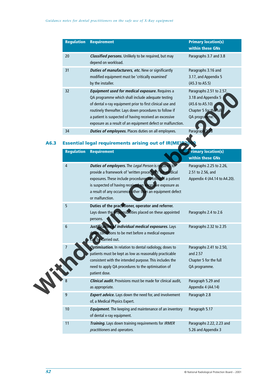| <b>Regulation</b> | <b>Requirement</b>                                          | <b>Primary location(s)</b> |
|-------------------|-------------------------------------------------------------|----------------------------|
|                   |                                                             | within these GNs           |
| 20                | Classified persons. Unlikely to be required, but may        | Paragraphs 3.7 and 3.8     |
|                   | depend on workload.                                         |                            |
| 31                | Duties of manufacturers, etc. New or significantly          | Paragraphs 3.16 and        |
|                   | modified equipment must be 'critically examined'            | 3.17, and Appendix 5       |
|                   | by the installer.                                           | (A5.3 to A5.5)             |
| 32                | Equipment used for medical exposure. Requires a             | Paragraphs 2.51 to 2.57,   |
|                   | QA programme which shall include adequate testing           | 3.18 and Appendix 5        |
|                   | of dental x-ray equipment prior to first clinical use and   | (A5.6 to A5.10)            |
|                   | routinely thereafter. Lays down procedures to follow if     | Chapter 5 for the fu       |
|                   | a patient is suspected of having received an excessive      | QA programme.              |
|                   | exposure as a result of an equipment defect or malfunction. |                            |
| 34                | Duties of employees. Places duties on all employees.        | Paragraph.                 |
|                   |                                                             |                            |

#### **A6.3 Essential legal requirements arising out of IR(ME)R2000**

|                | ЗZ                | <b>Equipment used for medical exposure.</b> Requires a             |                              |
|----------------|-------------------|--------------------------------------------------------------------|------------------------------|
|                |                   | QA programme which shall include adequate testing                  | 3.18 and Appendix 5          |
|                |                   | of dental x-ray equipment prior to first clinical use and          | (A5.6 to A5.10)              |
|                |                   | routinely thereafter. Lays down procedures to follow if            | Chapter 5 for the ful        |
|                |                   | a patient is suspected of having received an excessive             | QA programme.                |
|                |                   | exposure as a result of an equipment defect or malfunction.        |                              |
|                | 34                | Duties of employees. Places duties on all employees.               | Paragraph 2.28               |
|                |                   | <b>Essential legal requirements arising out of IR(ME)R20</b>       |                              |
|                | <b>Regulation</b> | <b>Requirement</b>                                                 | <b>Frimary location(s)</b>   |
|                |                   |                                                                    | within these GNs             |
| $\overline{4}$ |                   | Duties of employers. The Legal Person is required to               | Paragraphs 2.25 to 2.26,     |
|                |                   | provide a framework of 'written procedures' for medical            | 2.51 to 2.56, and            |
|                |                   | exposures. These include procedures to follow if a patient         | Appendix 4 (A4.14 to A4.20). |
|                |                   | is suspected of having received an excessive exposure as           |                              |
|                |                   | a result of any occurrence other than an equipment defect          |                              |
|                |                   | or malfunction.                                                    |                              |
| 5              |                   | Duties of the practitioner, operator and referrer.                 |                              |
|                |                   | Lays down the responsibilities placed on these appointed           | Paragraphs 2.4 to 2.6        |
|                |                   | persons.                                                           |                              |
| 6              |                   | Justification of individual medical exposures. Lays                | Paragraphs 2.32 to 2.35      |
|                |                   | down conditions to be met before a medical exposure                |                              |
|                |                   | can be carried out.                                                |                              |
| 7              |                   | <b>Optimisation.</b> In relation to dental radiology, doses to     | Paragraphs 2.41 to 2.50,     |
|                |                   | patients must be kept as low as reasonably practicable             | and 2.57                     |
|                |                   | consistent with the intended purpose. This includes the            | Chapter 5 for the full       |
|                |                   | need to apply QA procedures to the optimisation of                 | QA programme.                |
|                |                   | patient dose.                                                      |                              |
|                |                   | <b>Clinical audit.</b> Provisions must be made for clinical audit, | Paragraph 5.29 and           |
|                |                   | as appropriate.                                                    | Appendix 4 (A4.14)           |
| 9              |                   | <b>Expert advice.</b> Lays down the need for, and involvement      | Paragraph 2.8                |
|                |                   | of, a Medical Physics Expert.                                      |                              |
|                | 10                | <b>Equipment.</b> The keeping and maintenance of an inventory      | Paragraph 5.17               |
|                |                   | of dental x-ray equipment.                                         |                              |
|                | 11                | Training. Lays down training requirements for IRMER                | Paragraphs 2.22, 2.23 and    |
|                |                   | practitioners and operators.                                       | 5.26 and Appendix 3          |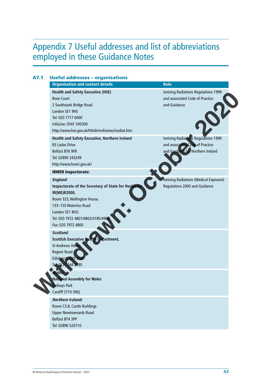## Appendix 7 Useful addresses and list of abbreviations employed in these Guidance Notes

#### **A7.1 Useful addresses – organisations**

| <b>Organisation and contact details</b>               | <b>Role</b>                                 |
|-------------------------------------------------------|---------------------------------------------|
| <b>Health and Safety Executive (HSE)</b>              | <b>Ionising Radiations Regulations 1999</b> |
| <b>Rose Court</b>                                     | and associated Code of Practice             |
| 2 Southwark Bridge Road                               | and Guidance                                |
| London SE1 9HS                                        |                                             |
| Tel: 020 7717 6000                                    |                                             |
| InfoLine: 0541 545500                                 |                                             |
| http://www.hse.gov.uk/hthdir/noframes/iradiat.htm     |                                             |
| Health and Safety Executive, Northern Ireland         | <b>Ionising Radiations Regulations 1999</b> |
| 83 Ladas Drive                                        | and associated Code of Practice             |
| <b>Belfast BT6 9FR</b>                                | and Guidance for Northern Ireland           |
| Tel: 02890 243249                                     |                                             |
| http://www.hseni.gov.uk/                              |                                             |
| <b>IRMER Inspectorate:</b>                            |                                             |
| England:                                              | onising Radiations (Medical Exposure)       |
| Inspectorate of the Secretary of State for Health for | Regulations 2000 and Guidance               |
| IR(ME)R2000,                                          |                                             |
| Room 323, Wellington House,                           |                                             |
| 133-155 Waterloo Road                                 |                                             |
| London SE1 8UG                                        |                                             |
| Tel: 020 7972 4801/4802/4185/498                      |                                             |
| Fax: 020 7972 4800                                    |                                             |
| Scotland:                                             |                                             |
| <b>Scottish Executive Health Department,</b>          |                                             |
| <b>St Andrews Hous</b>                                |                                             |
| Regent Road                                           |                                             |
| Edinburgh EN1<br>Tel: 0131 244 2495                   |                                             |
|                                                       |                                             |
| <b>Vales</b>                                          |                                             |
| <b>National Assembly for Wales</b>                    |                                             |
| <b>Athays Park</b><br>Cardiff CF10 3NQ                |                                             |
|                                                       |                                             |
| <b>Northern Ireland:</b>                              |                                             |
| Room C3.8, Castle Buildings                           |                                             |
|                                                       |                                             |
| <b>Upper Newtownards Road</b>                         |                                             |
| Belfast BT4 3PP<br>Tel: 02890 520710                  |                                             |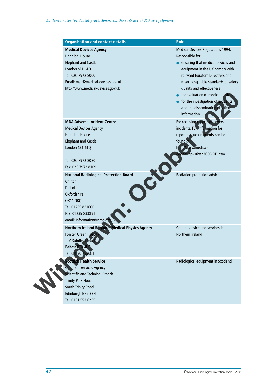|    | <b>Organisation and contact details</b>          | <b>Role</b>                                     |
|----|--------------------------------------------------|-------------------------------------------------|
|    | <b>Medical Devices Agency</b>                    | Medical Devices Regulations 1994.               |
|    | <b>Hannibal House</b>                            | Responsible for:                                |
|    | <b>Elephant and Castle</b>                       | • ensuring that medical devices and             |
|    | London SE1 6TQ                                   | equipment in the UK comply with                 |
|    | Tel: 020 7972 8000                               | relevant Euratom Directives and                 |
|    | Email: mail@medical-devices.gov.uk               | meet acceptable standards of safety,            |
|    | http://www.medical-devices.gov.uk                | quality and effectiveness                       |
|    |                                                  | • for evaluation of medical devices             |
|    |                                                  | • for the investigation of incidents            |
|    |                                                  | and the dissemination of safety                 |
|    |                                                  | information                                     |
|    | <b>MDA Adverse Incident Centre</b>               | For receiving reports of adverse                |
|    | <b>Medical Devices Agency</b>                    | incidents. Full information for                 |
|    | <b>Hannibal House</b>                            | reporting such incidents can be                 |
|    | <b>Elephant and Castle</b>                       | found at:                                       |
|    | London SE1 6TQ                                   | http://www.medical-                             |
|    |                                                  | devices.gov.uk/sn2000(01).htm                   |
|    | Tel: 020 7972 8080                               |                                                 |
|    | Fax: 020 7972 8109                               |                                                 |
|    | <b>National Radiological Protection Board</b>    | Radiation protection advice                     |
|    | Chilton                                          |                                                 |
|    | <b>Didcot</b>                                    |                                                 |
|    | Oxfordshire                                      |                                                 |
|    | <b>OX11 ORQ</b>                                  |                                                 |
|    | Tel: 01235 831600                                |                                                 |
|    | Fax: 01235 833891                                |                                                 |
|    | email: Information@nrpb.org.uk                   |                                                 |
|    | Northern Ireland Regional Medical Physics Agency | General advice and services in                  |
|    | Forster Green Hospita                            | Northern Ireland                                |
|    | 110 Sainfield Road                               |                                                 |
|    | Belfast BT8 4HD                                  |                                                 |
|    | Tel: 02890 793681                                |                                                 |
|    | <b>Cottish Health Service</b>                    | Radiological equipment in Scotland              |
|    | <b>Common Services Agency</b>                    |                                                 |
|    | Scientific and Technical Branch                  |                                                 |
|    | <b>Trinity Park House</b>                        |                                                 |
|    | South Trinity Road                               |                                                 |
|    | Edinburgh EH5 3SH                                |                                                 |
|    | Tel: 0131 552 6255                               |                                                 |
|    |                                                  |                                                 |
|    |                                                  |                                                 |
|    |                                                  |                                                 |
|    |                                                  |                                                 |
|    |                                                  |                                                 |
|    |                                                  |                                                 |
|    |                                                  |                                                 |
|    |                                                  |                                                 |
|    |                                                  |                                                 |
|    |                                                  |                                                 |
| 54 |                                                  | © National Radiological Protection Board - 2001 |

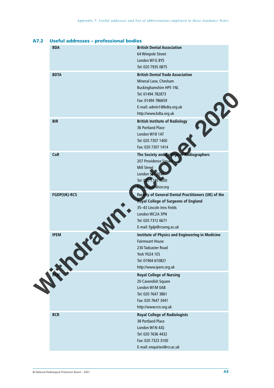| <b>BDA</b>          | <b>British Dental Association</b>                   |
|---------------------|-----------------------------------------------------|
|                     | 64 Wimpole Street                                   |
|                     | London W1G 8YS                                      |
|                     | Tel: 020 7935 0875                                  |
| <b>BDTA</b>         | <b>British Dental Trade Association</b>             |
|                     | Mineral Lane, Chesham                               |
|                     | <b>Buckinghamshire HP5 1NL</b>                      |
|                     | Tel: 01494 782873                                   |
|                     | Fax: 01494 786659                                   |
|                     | E-mail: admin1@bdta.org.uk                          |
|                     | http://www.bdta.org.uk                              |
| <b>BIR</b>          | <b>British Institute of Radiology</b>               |
|                     | 36 Portland Place                                   |
|                     | London W18 1AT                                      |
|                     | Tel: 020 7307 1400                                  |
|                     | Fax: 020 7307 1414                                  |
| <b>CoR</b>          | The Society and College of Radiographers            |
|                     | 207 Providence Square                               |
|                     | Mill Street                                         |
|                     | London SE1 2EW                                      |
|                     | Tel: 020 7740 7200                                  |
|                     | E-mail: info@sor.org                                |
| <b>FGDP(UK)-RCS</b> | Faculty of General Dental Practitioners (UK) of the |
|                     | <b>Royal College of Surgeons of England</b>         |
|                     | 35-43 Lincoln Inns Fields                           |
|                     | London WC2A 3PN                                     |
|                     | Tel: 020 7312 6671                                  |
|                     | E-mail: fgdp@rcseng.ac.uk                           |
| <b>IPEM</b>         | Institute of Physics and Engineering in Medicine    |
|                     | <b>Fairmount House</b>                              |
|                     | 230 Tadcaster Road                                  |
|                     | York YO24 1ES                                       |
|                     | Tel: 01904 610821                                   |
|                     | http://www.ipem.org.uk                              |
|                     | <b>Royal College of Nursing</b>                     |
|                     |                                                     |
| <b>Mitter</b>       | 20 Cavendish Square<br>London W1M 0AB               |
|                     | Tel: 020 7647 3861                                  |
|                     | Fax: 020 7647 3441                                  |
|                     |                                                     |
|                     | http://www.rcn.org.uk                               |
| <b>RCR</b>          | <b>Royal College of Radiologists</b>                |
|                     |                                                     |
|                     | 38 Portland Place                                   |
|                     | London W1N 4JQ                                      |
|                     | Tel: 020 7636 4432                                  |
|                     | Fax: 020 7323 3100<br>E-mail: enquiries@rcr.ac.uk   |

#### **A7.2 Useful addresses – professional bodies**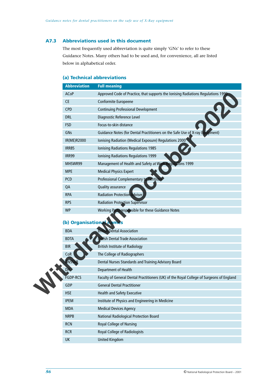#### **A7.3 Abbreviations used in this document**

The most frequently used abbreviation is quite simply 'GNs' to refer to these Guidance Notes. Many others had to be used and, for convenience, all are listed below in alphabetical order.

#### **(a) Technical abbreviations**

| <b>Abbreviation</b> | <b>Full meaning</b>                                                               |
|---------------------|-----------------------------------------------------------------------------------|
| <b>ACoP</b>         | Approved Code of Practice, that supports the lonising Radiations Regulations 1999 |
| <b>CE</b>           | Conformite Europeene                                                              |
| <b>CPD</b>          | <b>Continuing Professional Development</b>                                        |
| <b>DRL</b>          | Diagnostic Reference Level                                                        |
| <b>FSD</b>          | Focus-to-skin distance                                                            |
| <b>GNs</b>          | Guidance Notes (for Dental Practitioners on the Safe Use of X-ray Equipment)      |
| IR(ME)R2000         | Ionising Radiation (Medical Exposure) Regulations 2000 <sup>4</sup>               |
| <b>IRR85</b>        | <b>Ionising Radiations Regulations 1985</b>                                       |
| <b>IRR99</b>        | Ionising Radiations Regulations 1999                                              |
| MHSWR99             | Management of Health and Safety at Work Regulations 1999                          |
| <b>MPE</b>          | <b>Medical Physics Expert</b>                                                     |
| <b>PCD</b>          | Professional Complementary to Dentistry                                           |
| QA                  | Quality assurance                                                                 |
| <b>RPA</b>          | Radiation Protection Adviser                                                      |
| <b>RPS</b>          | <b>Radiation Protection Supervisor</b>                                            |
| <b>WP</b>           | Working Party responsible for these Guidance Notes                                |

## **(b) Organisational n**

| <b>ACoP</b>       | Approved Code of Practice, that supports the lonising Radiations Regulations 1999        |
|-------------------|------------------------------------------------------------------------------------------|
| <b>CE</b>         | Conformite Europeene                                                                     |
| <b>CPD</b>        | <b>Continuing Professional Development</b>                                               |
| <b>DRL</b>        | Diagnostic Reference Level                                                               |
| <b>FSD</b>        | Focus-to-skin distance                                                                   |
| GNs               | Guidance Notes (for Dental Practitioners on the Safe Use of X-ray E<br>quipment)         |
| IR(ME)R2000       | Ionising Radiation (Medical Exposure) Regulations 2000 <sup>*</sup>                      |
| <b>IRR85</b>      | Ionising Radiations Regulations 1985                                                     |
| <b>IRR99</b>      | Ionising Radiations Regulations 1999                                                     |
| MHSWR99           | Management of Health and Safety at Work Regulations 1999                                 |
| <b>MPE</b>        | <b>Medical Physics Expert</b>                                                            |
| <b>PCD</b>        | Professional Complementary to Dentistry                                                  |
| QA                | Quality assurance                                                                        |
| <b>RPA</b>        | Radiation Protection Adviser                                                             |
| <b>RPS</b>        | <b>Radiation Protection Supervisor</b>                                                   |
| <b>WP</b>         | Working Party responsible for these Guidance Notes                                       |
| (b) Organisationa |                                                                                          |
| <b>BDA</b>        | <b>British Dental Association</b>                                                        |
| <b>BDTA</b>       | <b>British Dental Trade Association</b>                                                  |
| <b>BIR</b>        | <b>British Institute of Radiology</b>                                                    |
| CoR               | The College of Radiographers                                                             |
| <b>INSTAR</b>     | Dental Nurses Standards and Training Advisory Board                                      |
| DH                | Department of Health                                                                     |
| <b>FGDP-RCS</b>   | Faculty of General Dental Practitioners (UK) of the Royal College of Surgeons of England |
| <b>GDP</b>        | <b>General Dental Practitioner</b>                                                       |
| <b>HSE</b>        | Health and Safety Executive                                                              |
| <b>IPEM</b>       | Institute of Physics and Engineering in Medicine                                         |
| <b>MDA</b>        | <b>Medical Devices Agency</b>                                                            |
| <b>NRPB</b>       | <b>National Radiological Protection Board</b>                                            |
| <b>RCN</b>        | Royal College of Nursing                                                                 |
| <b>RCR</b>        | Royal College of Radiologists                                                            |
| UK                | <b>United Kingdom</b>                                                                    |
|                   |                                                                                          |
|                   | © National Radiological Protection Board - 2001                                          |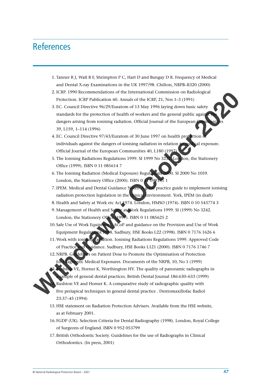## **References**

- 1. Tanner R J, Wall B F, Shrimpton P C, Hart D and Bungay D R. Frequency of Medical and Dental X-ray Examinations in the UK 1997/98. Chilton, NRPB–R320 (2000)
- 2. ICRP. 1990 Recommendations of the International Commission on Radiological Protection. ICRP Publication 60. Annals of the ICRP, 21, Nos 1–3 (1991)
- 3. EC. Council Directive 96/29/Euratom of 13 May 1996 laying down basic safety standards for the protection of health of workers and the general public again dangers arising from ionising radiation. Official Journal of the European 39, L159, 1–114 (1996)
- 4. EC. Council Directive 97/43/Euratom of 30 June 1997 on health protection individuals against the dangers of ionising radiation in relation to medical exposure. Official Journal of the European Communities 40, L180 (1997)
- 5. The Ionising Radiations Regulations 1999. SI 1999 No 3232. London, the Stationery Office (1999). ISBN 0 11 085614 7
- 6. The Ionising Radiation (Medical Exposure) Regulations 2000. SI 2000 No 1059. London, the Stationery Office (2000). ISBN 0 11 099131 1
- 7. IPEM. Medical and Dental Guidance Notes. A good practice guide to implement ionising radiation protection legislation in the clinical environment. York, IPEM (in draft)
- 8. Health and Safety at Work etc Act 1974. London, HMSO (1974). ISBN 0 10 543774 3
- 9. Management of Health and Safety at Work Regulations 1999. SI (1999) No 3242. London, the Stationery Office (1999). ISBN 0 11 085625 2
- 10.Safe Use of Work Equipment, ACoP and guidance on the Provision and Use of Work Equipment Regulations 1998. Sudbury, HSE Books L22 (1998). ISBN 0 7176 1626 6
- 11.Work with ionising radiation. Ionising Radiations Regulations 1999. Approved Code of Practice and Guidance. Sudbury, HSE Books L121 (2000). ISBN 0 7176 1746 7
- 12.NRPB. Guidelines on Patient Dose to Promote the Optimisation of Protection fagnostic Medical Exposures. Documents of the NRPB, 10, No 1 (1999) Rushton VE, Horner K, Worthington HV. The quality of panoramic radiographs in ample of general dental practices. British Dental Journal 186:630–633 (1999) Rushton VE and Horner K. A comparative study of radiographic quality with five periapical techniques in general dental practice . Dentomaxillofac Radiol 23:37–45 (1994) 2. EXP (99 Reminuerial columns in the internal reformation of the internal Radiological Protection. ICB Publication of Radiological Str. Comed Direction Control is to spin 1985 (1897). The Comed Direction Control is the in
	- 15.HSE statement on Radiation Protection Advisers. Available from the HSE website, as at February 2001.
	- 16.FGDP (UK). Selection Criteria for Dental Radiography (1998). London, Royal College of Surgeons of England. ISBN 0 952 053799
	- 17.British Orthodontic Society. Guidelines for the use of Radiographs in Clinical Orthodontics. (In press, 2001)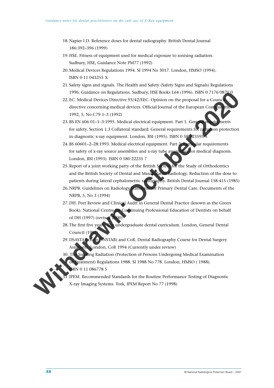- 18.Napier I D. Reference doses for dental radiography. British Dental Journal 186:392–396 (1999)
- 19.HSE. Fitness of equipment used for medical exposure to ionising radiation. Sudbury, HSE, Guidance Note PM77 (1992)
- 20.Medical Devices Regulations 1994. SI 1994 No 3017. London, HMSO (1994). ISBN 0 11 043255 X
- 21.Safety signs and signals. The Health and Safety (Safety Signs and Signals) Regulations 1996. Guidance on Regulations. Sudbury, HSE Books L64 (1996). ISBN 0 7176 0870 0
- 22.EC. Medical Devices Directive 93/42/EEC. Opinion on the proposal for a Council directive concerning medical devices. Official Journal of the European Community 1992, 5, No C79 1–3 (1992)
- 23.BS EN 606 01–1–3:1995. Medical electrical equipment. Part 1. General requirements for safety. Section 1.3 Collateral standard: General requirements for radiation protection in diagnostic x-ray equipment. London, BSI (1995). ISBN 0 580 23595
- 24.BS 60601–2–28:1993. Medical electrical equipment. Part 2. Particular requirements for safety of x-ray source assemblies and x-ray tube assemblies for medical diagnosis. London, BSI (1993). ISBN 0 580 22235 7
- 25. Report of a joint working party of the British Society for the Study of Orthodontics and the British Society of Dental and Maxillofacial Radiology. Reduction of the dose to patients during lateral cephalometric radiography. British Dental Journal 158:415 (1985) **58** Solid Lead Constrainer Solid Lead Constrainer Solid Lead Constrainer Constrainer Constrainer Constrainer Constrainer Constrainer Constrainer Constrainer Constrainer Constrainer Constrainer Constrainer Constrainer Con
	- 26. NRPB. Guidelines on Radiology Standards for Primary Dental Care. Documents of the NRPB, 5, No 3 (1994)
	- 27.DH. Peer Review and Clinical Audit in General Dental Practice (known as the Green Book). National Centre for Continuing Professional Education of Dentists on behalf of DH (1997) (revised  $20$
	- 28.The first five years. The undergraduate dental curriculum. London, General Dental Council (199
	- 29. DSASTAB (now DNSTAB) and CoR. Dental Radiography Course for Dental Surgery Assistants. London, CoR 1994 (Currently under review)
	- 30. The Ionising Radiation (Protection of Persons Undergoing Medical Examination Treatment) Regulations 1988. SI 1988 No 778. London, HMSO (1988). ISBN 0 11 086778 5
		- IPEM. Recommended Standards for the Routine Performance Testing of Diagnostic X-ray Imaging Systems. York, IPEM Report No 77 (1998)